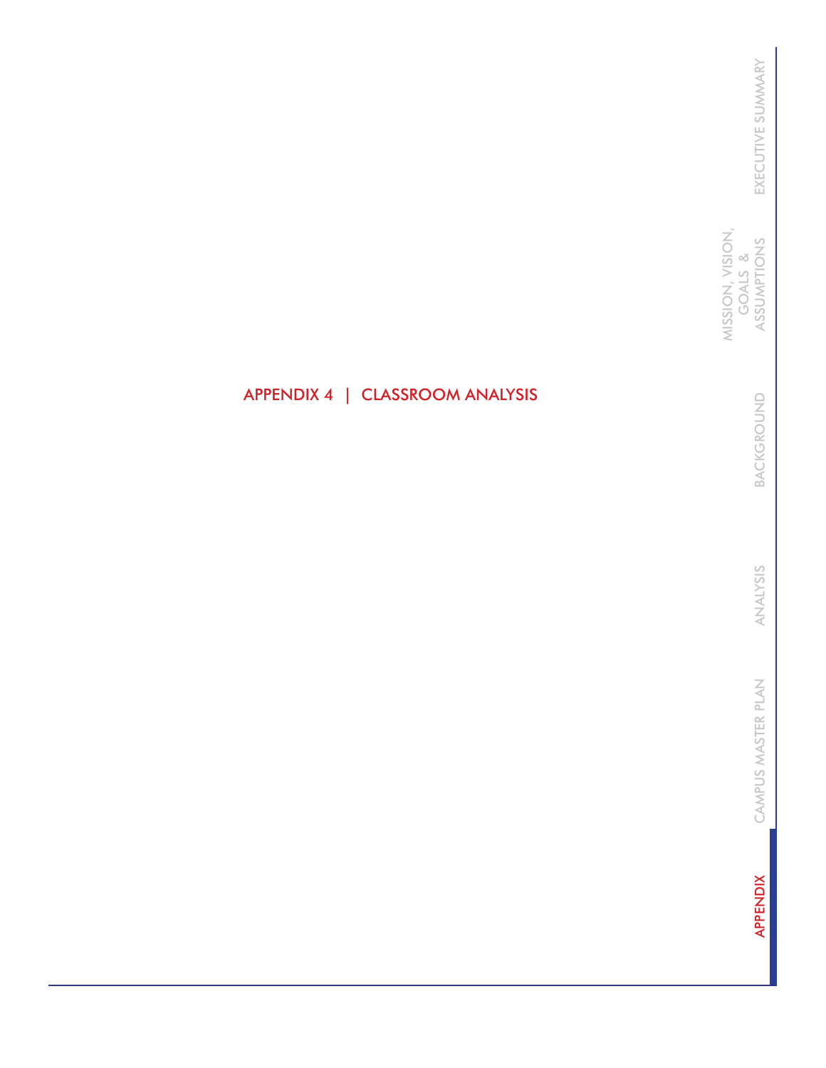MISSION, VISION,<br>GOALS &<br>ASSUMPTIONS MISSION, VISION, ASSUMPTIONS GOALS &

> BACKGROUND BACKGROUND

ANALYSIS ANALYSIS

CAMPUS MASTER PLAN CAMPUS MASTER PLAN

**APPENDIX** APPENDIX

# APPENDIX 4 | CLASSROOM ANALYSIS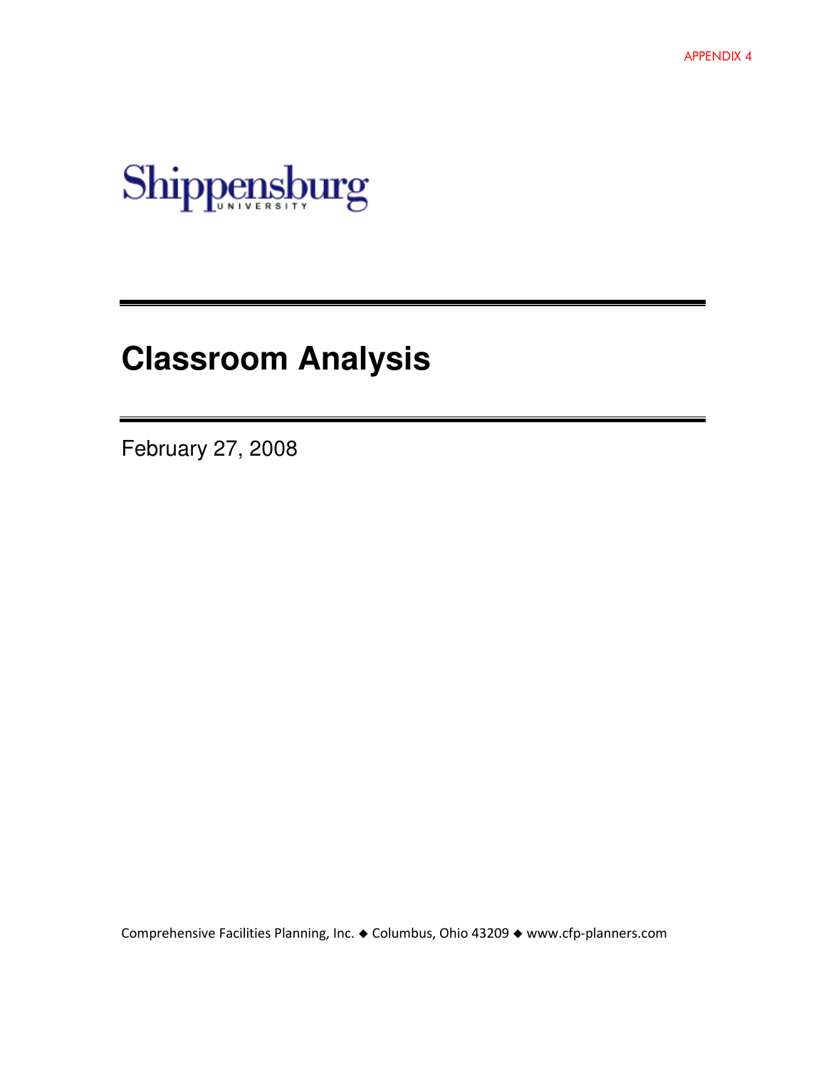

# **Classroom Analysis**

February 27, 2008

Comprehensive Facilities Planning, Inc. ♦ Columbus, Ohio 43209 ♦ www.cfp-planners.com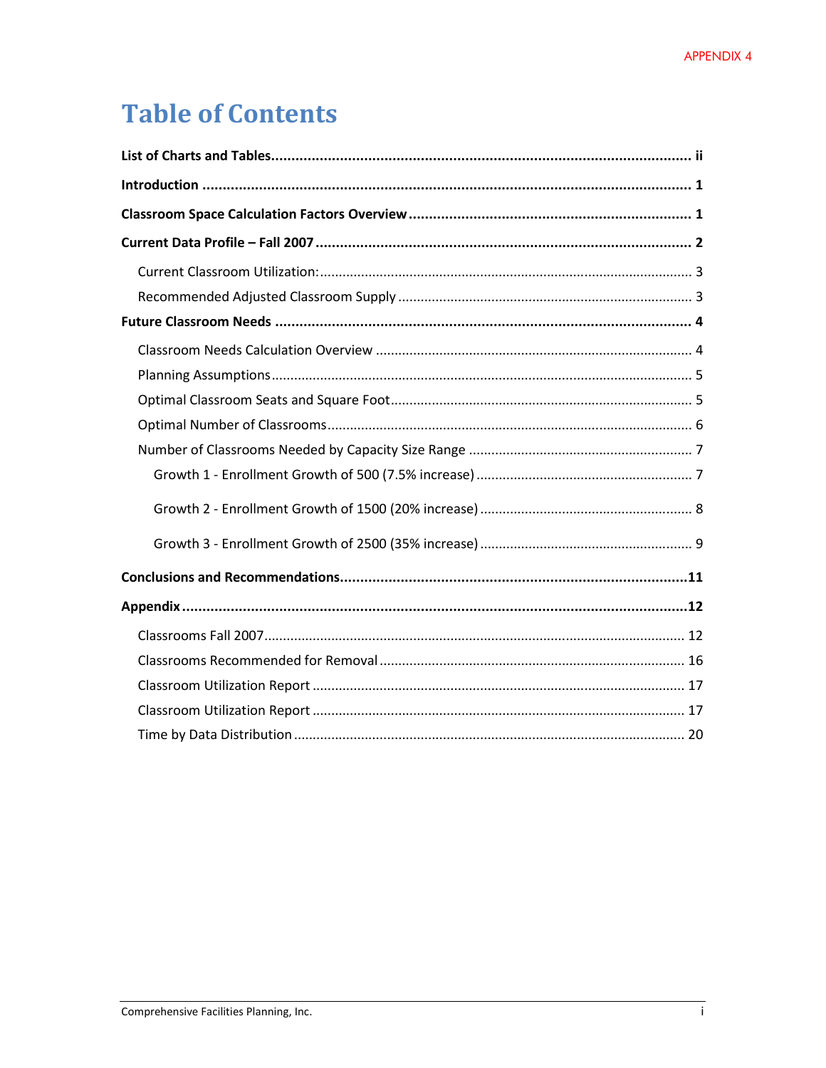# **Table of Contents**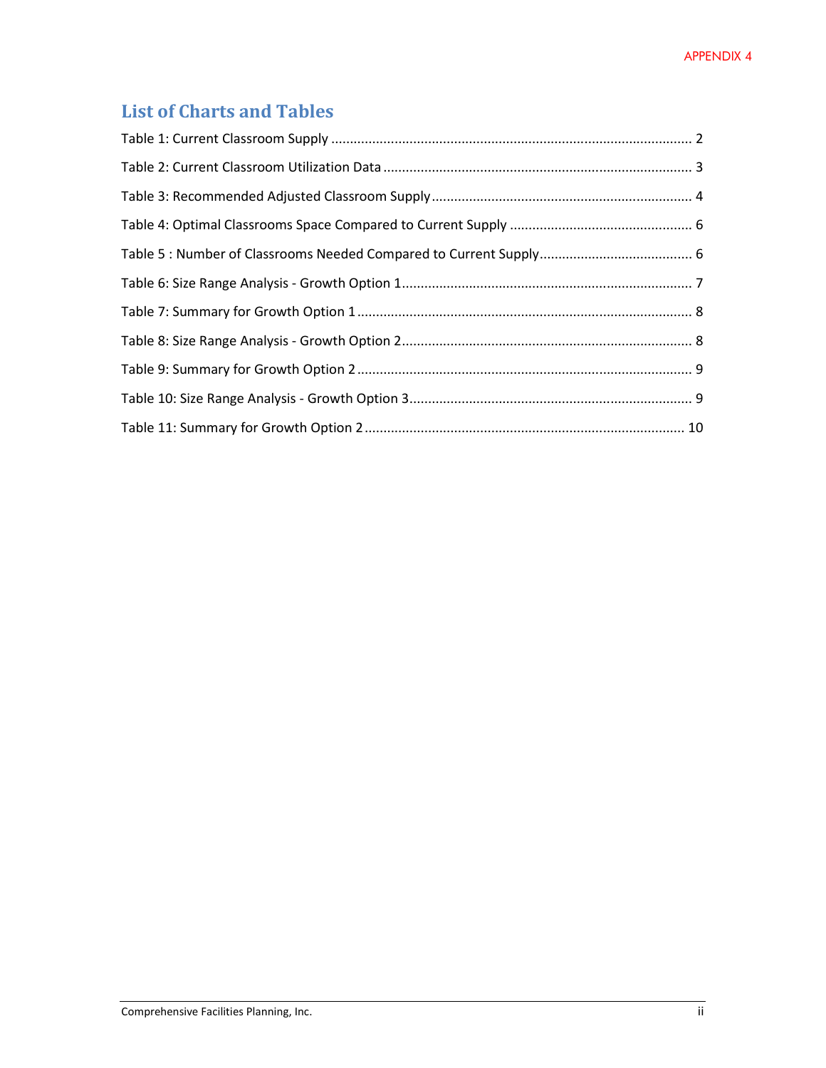# List of Charts and Tables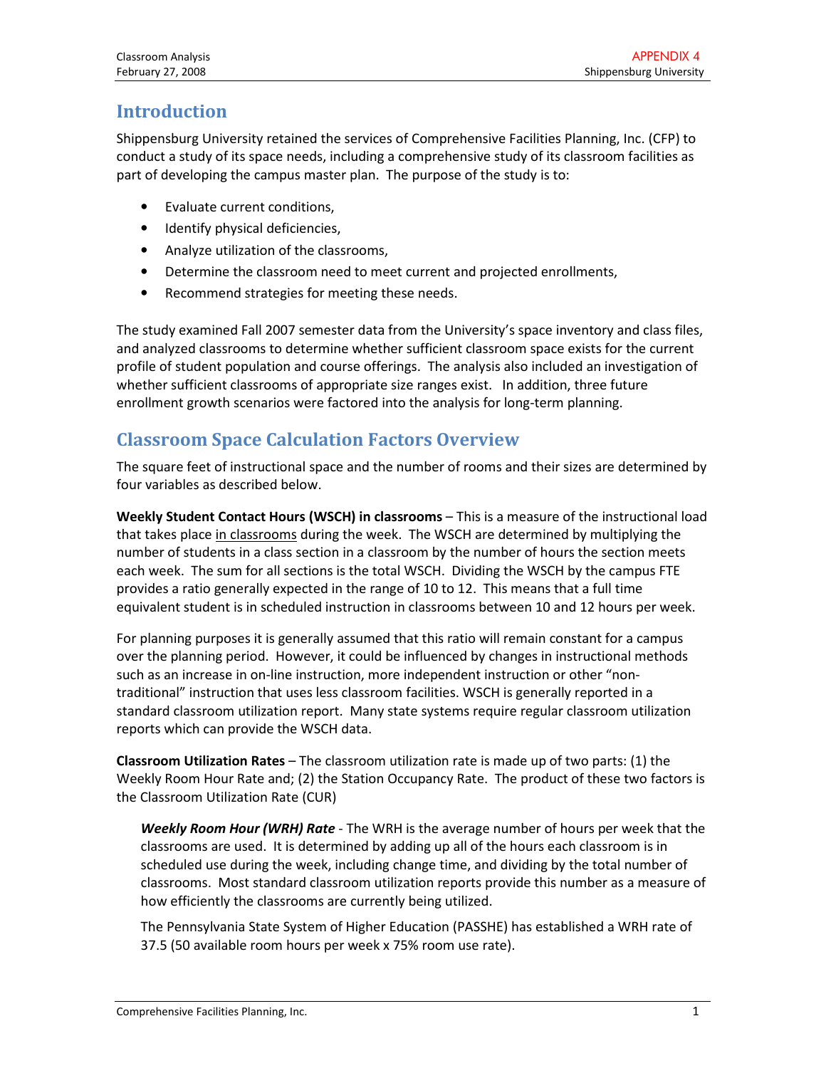# Introduction

Shippensburg University retained the services of Comprehensive Facilities Planning, Inc. (CFP) to conduct a study of its space needs, including a comprehensive study of its classroom facilities as part of developing the campus master plan. The purpose of the study is to:

- Evaluate current conditions,
- Identify physical deficiencies,
- Analyze utilization of the classrooms,
- Determine the classroom need to meet current and projected enrollments,
- Recommend strategies for meeting these needs.

The study examined Fall 2007 semester data from the University's space inventory and class files, and analyzed classrooms to determine whether sufficient classroom space exists for the current profile of student population and course offerings. The analysis also included an investigation of whether sufficient classrooms of appropriate size ranges exist. In addition, three future enrollment growth scenarios were factored into the analysis for long-term planning.

# Classroom Space Calculation Factors Overview

The square feet of instructional space and the number of rooms and their sizes are determined by four variables as described below.

Weekly Student Contact Hours (WSCH) in classrooms - This is a measure of the instructional load that takes place in classrooms during the week. The WSCH are determined by multiplying the number of students in a class section in a classroom by the number of hours the section meets each week. The sum for all sections is the total WSCH. Dividing the WSCH by the campus FTE provides a ratio generally expected in the range of 10 to 12. This means that a full time equivalent student is in scheduled instruction in classrooms between 10 and 12 hours per week.

For planning purposes it is generally assumed that this ratio will remain constant for a campus over the planning period. However, it could be influenced by changes in instructional methods such as an increase in on-line instruction, more independent instruction or other "nontraditional" instruction that uses less classroom facilities. WSCH is generally reported in a standard classroom utilization report. Many state systems require regular classroom utilization reports which can provide the WSCH data.

Classroom Utilization Rates – The classroom utilization rate is made up of two parts: (1) the Weekly Room Hour Rate and; (2) the Station Occupancy Rate. The product of these two factors is the Classroom Utilization Rate (CUR)

Weekly Room Hour (WRH) Rate - The WRH is the average number of hours per week that the classrooms are used. It is determined by adding up all of the hours each classroom is in scheduled use during the week, including change time, and dividing by the total number of classrooms. Most standard classroom utilization reports provide this number as a measure of how efficiently the classrooms are currently being utilized.

The Pennsylvania State System of Higher Education (PASSHE) has established a WRH rate of 37.5 (50 available room hours per week x 75% room use rate).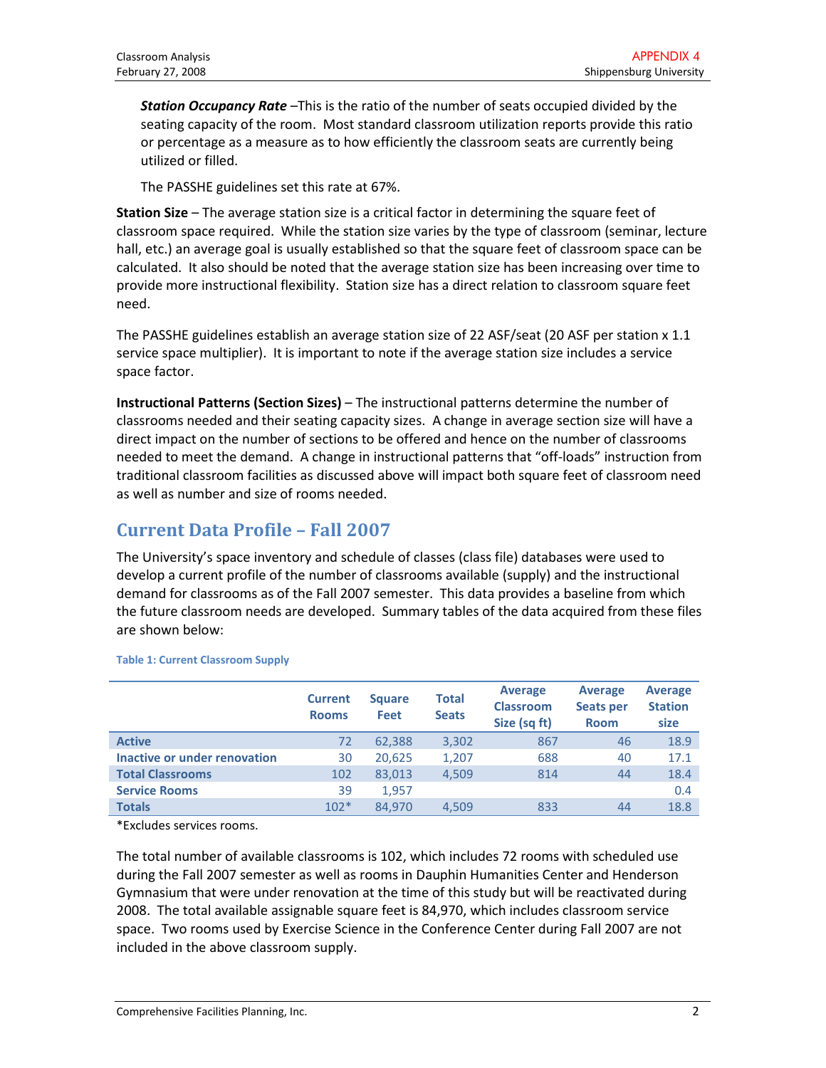**Station Occupancy Rate** –This is the ratio of the number of seats occupied divided by the seating capacity of the room. Most standard classroom utilization reports provide this ratio or percentage as a measure as to how efficiently the classroom seats are currently being utilized or filled.

The PASSHE guidelines set this rate at 67%.

Station Size – The average station size is a critical factor in determining the square feet of classroom space required. While the station size varies by the type of classroom (seminar, lecture hall, etc.) an average goal is usually established so that the square feet of classroom space can be calculated. It also should be noted that the average station size has been increasing over time to provide more instructional flexibility. Station size has a direct relation to classroom square feet need.

The PASSHE guidelines establish an average station size of 22 ASF/seat (20 ASF per station x 1.1 service space multiplier). It is important to note if the average station size includes a service space factor.

Instructional Patterns (Section Sizes) – The instructional patterns determine the number of classrooms needed and their seating capacity sizes. A change in average section size will have a direct impact on the number of sections to be offered and hence on the number of classrooms needed to meet the demand. A change in instructional patterns that "off-loads" instruction from traditional classroom facilities as discussed above will impact both square feet of classroom need as well as number and size of rooms needed.

# Current Data Profile – Fall 2007

The University's space inventory and schedule of classes (class file) databases were used to develop a current profile of the number of classrooms available (supply) and the instructional demand for classrooms as of the Fall 2007 semester. This data provides a baseline from which the future classroom needs are developed. Summary tables of the data acquired from these files are shown below:

|                              | <b>Current</b><br><b>Rooms</b> | <b>Square</b><br><b>Feet</b> | Total<br><b>Seats</b> | <b>Average</b><br><b>Classroom</b><br>Size (sq ft) | <b>Average</b><br><b>Seats per</b><br><b>Room</b> | <b>Average</b><br><b>Station</b><br>size |
|------------------------------|--------------------------------|------------------------------|-----------------------|----------------------------------------------------|---------------------------------------------------|------------------------------------------|
| <b>Active</b>                | 72                             | 62,388                       | 3,302                 | 867                                                | 46                                                | 18.9                                     |
| Inactive or under renovation | 30                             | 20,625                       | 1,207                 | 688                                                | 40                                                | 17.1                                     |
| <b>Total Classrooms</b>      | 102                            | 83,013                       | 4,509                 | 814                                                | 44                                                | 18.4                                     |
| <b>Service Rooms</b>         | 39                             | 1,957                        |                       |                                                    |                                                   | 0.4                                      |
| <b>Totals</b>                | $102*$                         | 84.970                       | 4.509                 | 833                                                | 44                                                | 18.8                                     |

#### Table 1: Current Classroom Supply

\*Excludes services rooms.

The total number of available classrooms is 102, which includes 72 rooms with scheduled use during the Fall 2007 semester as well as rooms in Dauphin Humanities Center and Henderson Gymnasium that were under renovation at the time of this study but will be reactivated during 2008. The total available assignable square feet is 84,970, which includes classroom service space. Two rooms used by Exercise Science in the Conference Center during Fall 2007 are not included in the above classroom supply.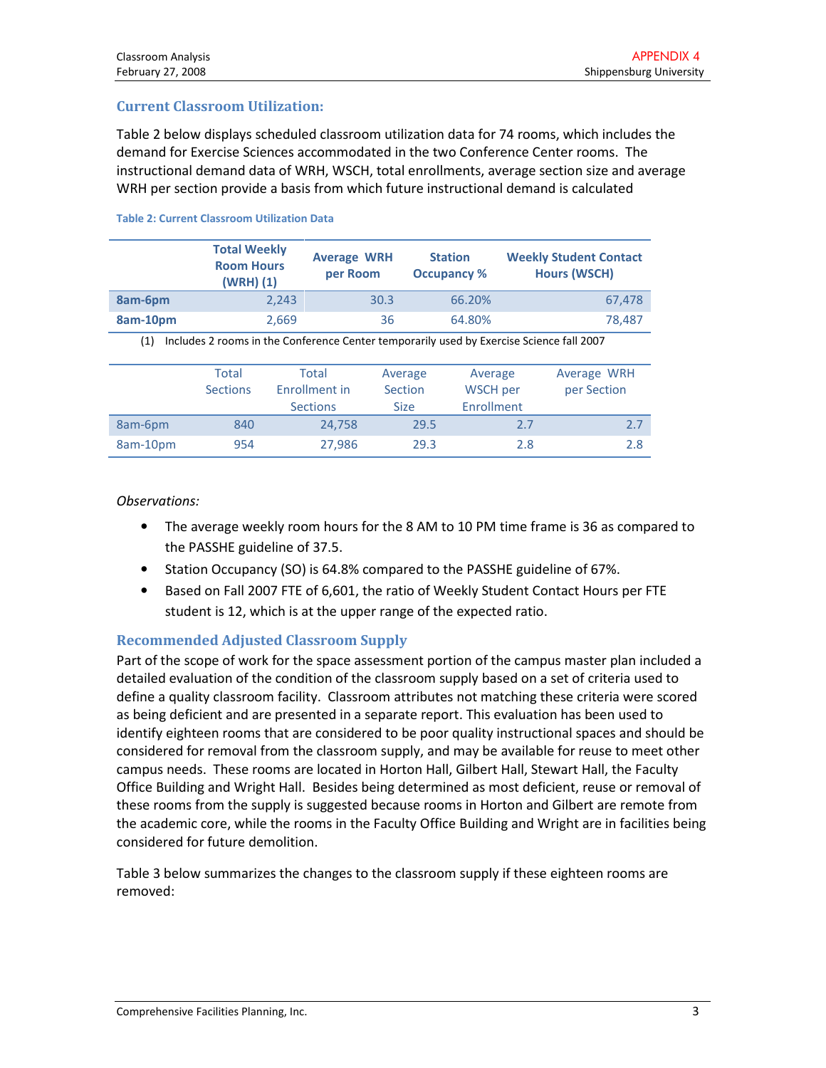### Current Classroom Utilization:

Table 2 below displays scheduled classroom utilization data for 74 rooms, which includes the demand for Exercise Sciences accommodated in the two Conference Center rooms. The instructional demand data of WRH, WSCH, total enrollments, average section size and average WRH per section provide a basis from which future instructional demand is calculated

|                                                                                                 | <b>Total Weekly</b><br><b>Room Hours</b><br>$(WRH)$ $(1)$ | <b>Average WRH</b><br>per Room            |                                   | <b>Station</b><br><b>Occupancy %</b> | <b>Weekly Student Contact</b><br><b>Hours (WSCH)</b> |                            |
|-------------------------------------------------------------------------------------------------|-----------------------------------------------------------|-------------------------------------------|-----------------------------------|--------------------------------------|------------------------------------------------------|----------------------------|
| 8am-6pm                                                                                         |                                                           | 2,243                                     | 30.3                              | 66.20%                               |                                                      | 67,478                     |
| 8am-10pm                                                                                        | 2,669                                                     |                                           | 64.80%<br>36                      |                                      |                                                      | 78,487                     |
| Includes 2 rooms in the Conference Center temporarily used by Exercise Science fall 2007<br>(1) |                                                           |                                           |                                   |                                      |                                                      |                            |
|                                                                                                 | Total<br><b>Sections</b>                                  | Total<br>Enrollment in<br><b>Sections</b> | Average<br>Section<br><b>Size</b> | Average<br>WSCH per<br>Enrollment    |                                                      | Average WRH<br>per Section |
| 8am-6pm                                                                                         | 840                                                       | 24,758                                    |                                   | 29.5                                 | 2.7                                                  | 2.7                        |
| 8am-10pm                                                                                        | 954                                                       | 27,986                                    |                                   | 29.3                                 | 2.8                                                  | 2.8                        |

#### Table 2: Current Classroom Utilization Data

#### Observations:

- The average weekly room hours for the 8 AM to 10 PM time frame is 36 as compared to the PASSHE guideline of 37.5.
- Station Occupancy (SO) is 64.8% compared to the PASSHE guideline of 67%.
- Based on Fall 2007 FTE of 6,601, the ratio of Weekly Student Contact Hours per FTE student is 12, which is at the upper range of the expected ratio.

### Recommended Adjusted Classroom Supply

Part of the scope of work for the space assessment portion of the campus master plan included a detailed evaluation of the condition of the classroom supply based on a set of criteria used to define a quality classroom facility. Classroom attributes not matching these criteria were scored as being deficient and are presented in a separate report. This evaluation has been used to identify eighteen rooms that are considered to be poor quality instructional spaces and should be considered for removal from the classroom supply, and may be available for reuse to meet other campus needs. These rooms are located in Horton Hall, Gilbert Hall, Stewart Hall, the Faculty Office Building and Wright Hall. Besides being determined as most deficient, reuse or removal of these rooms from the supply is suggested because rooms in Horton and Gilbert are remote from the academic core, while the rooms in the Faculty Office Building and Wright are in facilities being considered for future demolition.

Table 3 below summarizes the changes to the classroom supply if these eighteen rooms are removed: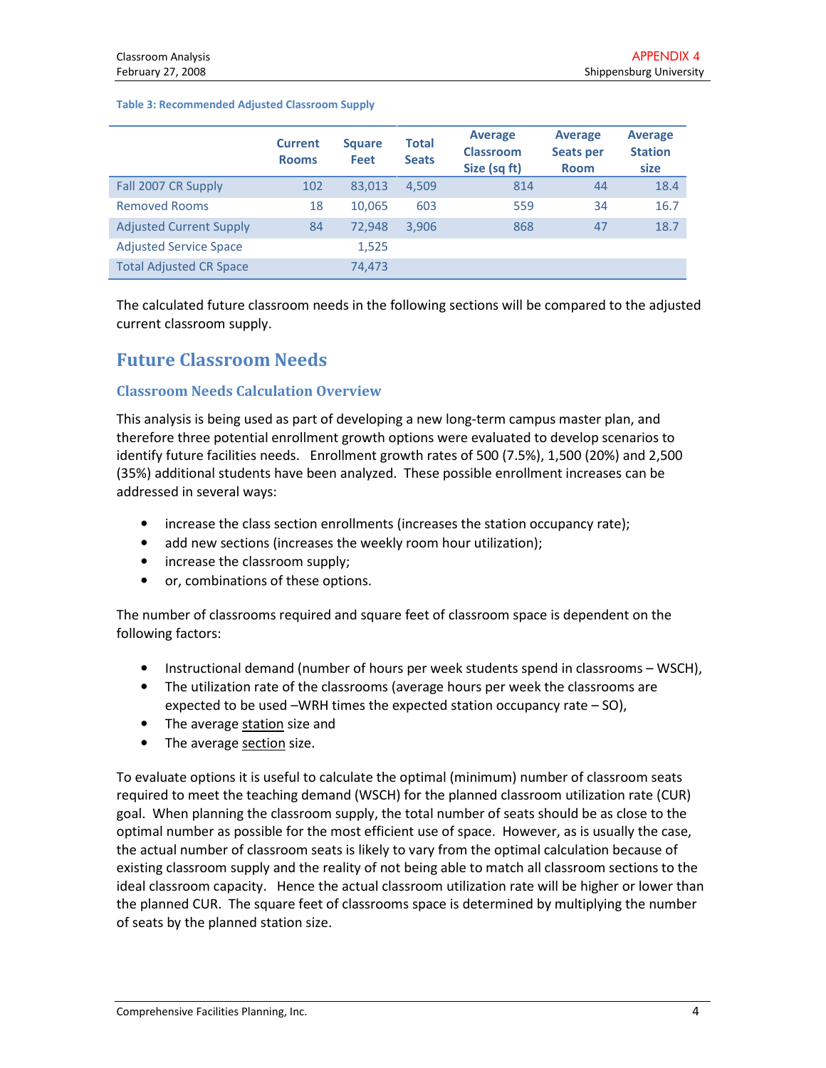#### Table 3: Recommended Adjusted Classroom Supply

|                                | <b>Current</b><br><b>Rooms</b> | <b>Square</b><br>Feet | Total<br><b>Seats</b> | <b>Average</b><br><b>Classroom</b><br>Size (sq ft) | <b>Average</b><br>Seats per<br><b>Room</b> | <b>Average</b><br><b>Station</b><br>size |
|--------------------------------|--------------------------------|-----------------------|-----------------------|----------------------------------------------------|--------------------------------------------|------------------------------------------|
| Fall 2007 CR Supply            | 102                            | 83,013                | 4,509                 | 814                                                | 44                                         | 18.4                                     |
| <b>Removed Rooms</b>           | 18                             | 10.065                | 603                   | 559                                                | 34                                         | 16.7                                     |
| <b>Adjusted Current Supply</b> | 84                             | 72.948                | 3,906                 | 868                                                | 47                                         | 18.7                                     |
| <b>Adjusted Service Space</b>  |                                | 1,525                 |                       |                                                    |                                            |                                          |
| <b>Total Adjusted CR Space</b> |                                | 74,473                |                       |                                                    |                                            |                                          |

The calculated future classroom needs in the following sections will be compared to the adjusted current classroom supply.

# Future Classroom Needs

### Classroom Needs Calculation Overview

This analysis is being used as part of developing a new long-term campus master plan, and therefore three potential enrollment growth options were evaluated to develop scenarios to identify future facilities needs. Enrollment growth rates of 500 (7.5%), 1,500 (20%) and 2,500 (35%) additional students have been analyzed. These possible enrollment increases can be addressed in several ways:

- increase the class section enrollments (increases the station occupancy rate);
- add new sections (increases the weekly room hour utilization);
- increase the classroom supply;
- or, combinations of these options.

The number of classrooms required and square feet of classroom space is dependent on the following factors:

- Instructional demand (number of hours per week students spend in classrooms WSCH),
- The utilization rate of the classrooms (average hours per week the classrooms are expected to be used –WRH times the expected station occupancy rate – SO),
- The average station size and
- The average section size.

To evaluate options it is useful to calculate the optimal (minimum) number of classroom seats required to meet the teaching demand (WSCH) for the planned classroom utilization rate (CUR) goal. When planning the classroom supply, the total number of seats should be as close to the optimal number as possible for the most efficient use of space. However, as is usually the case, the actual number of classroom seats is likely to vary from the optimal calculation because of existing classroom supply and the reality of not being able to match all classroom sections to the ideal classroom capacity. Hence the actual classroom utilization rate will be higher or lower than the planned CUR. The square feet of classrooms space is determined by multiplying the number of seats by the planned station size.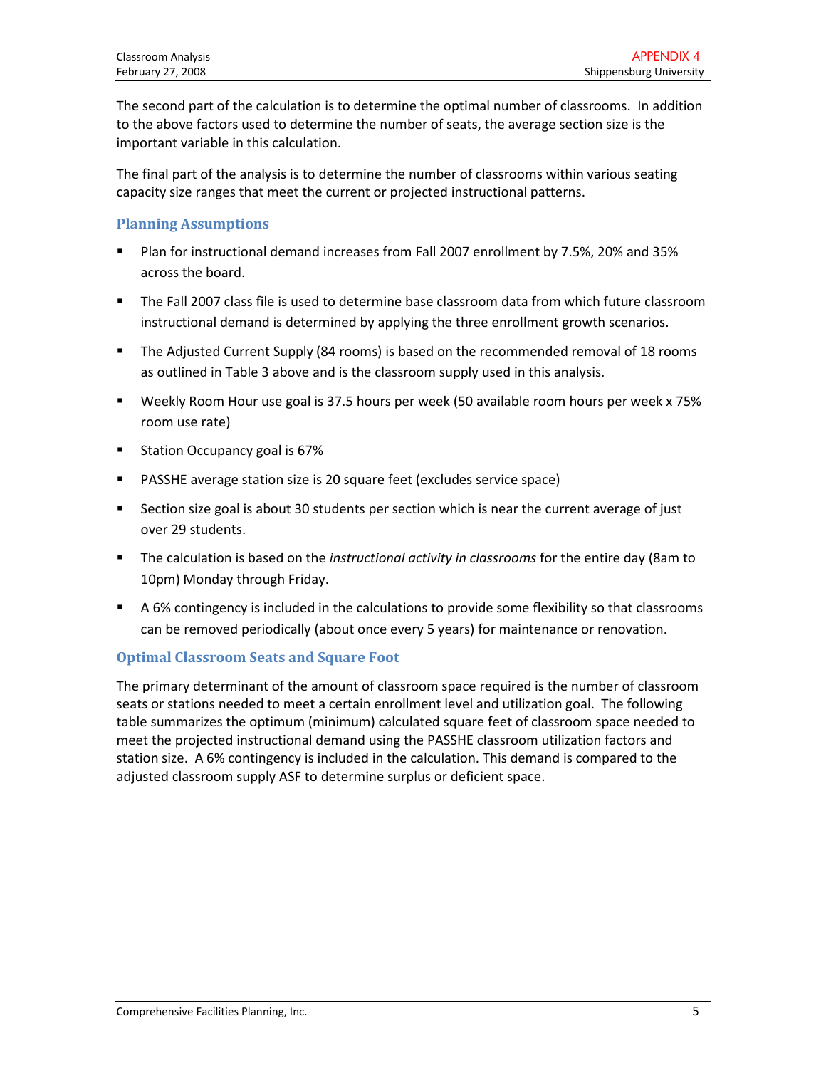The second part of the calculation is to determine the optimal number of classrooms. In addition to the above factors used to determine the number of seats, the average section size is the important variable in this calculation.

The final part of the analysis is to determine the number of classrooms within various seating capacity size ranges that meet the current or projected instructional patterns.

## Planning Assumptions

- - Plan for instructional demand increases from Fall 2007 enrollment by 7.5%, 20% and 35% across the board.
- - The Fall 2007 class file is used to determine base classroom data from which future classroom instructional demand is determined by applying the three enrollment growth scenarios.
- - The Adjusted Current Supply (84 rooms) is based on the recommended removal of 18 rooms as outlined in Table 3 above and is the classroom supply used in this analysis.
- - Weekly Room Hour use goal is 37.5 hours per week (50 available room hours per week x 75% room use rate)
- -Station Occupancy goal is 67%
- -PASSHE average station size is 20 square feet (excludes service space)
- - Section size goal is about 30 students per section which is near the current average of just over 29 students.
- -The calculation is based on the *instructional activity in classrooms* for the entire day (8am to 10pm) Monday through Friday.
- - A 6% contingency is included in the calculations to provide some flexibility so that classrooms can be removed periodically (about once every 5 years) for maintenance or renovation.

# Optimal Classroom Seats and Square Foot

The primary determinant of the amount of classroom space required is the number of classroom seats or stations needed to meet a certain enrollment level and utilization goal. The following table summarizes the optimum (minimum) calculated square feet of classroom space needed to meet the projected instructional demand using the PASSHE classroom utilization factors and station size. A 6% contingency is included in the calculation. This demand is compared to the adjusted classroom supply ASF to determine surplus or deficient space.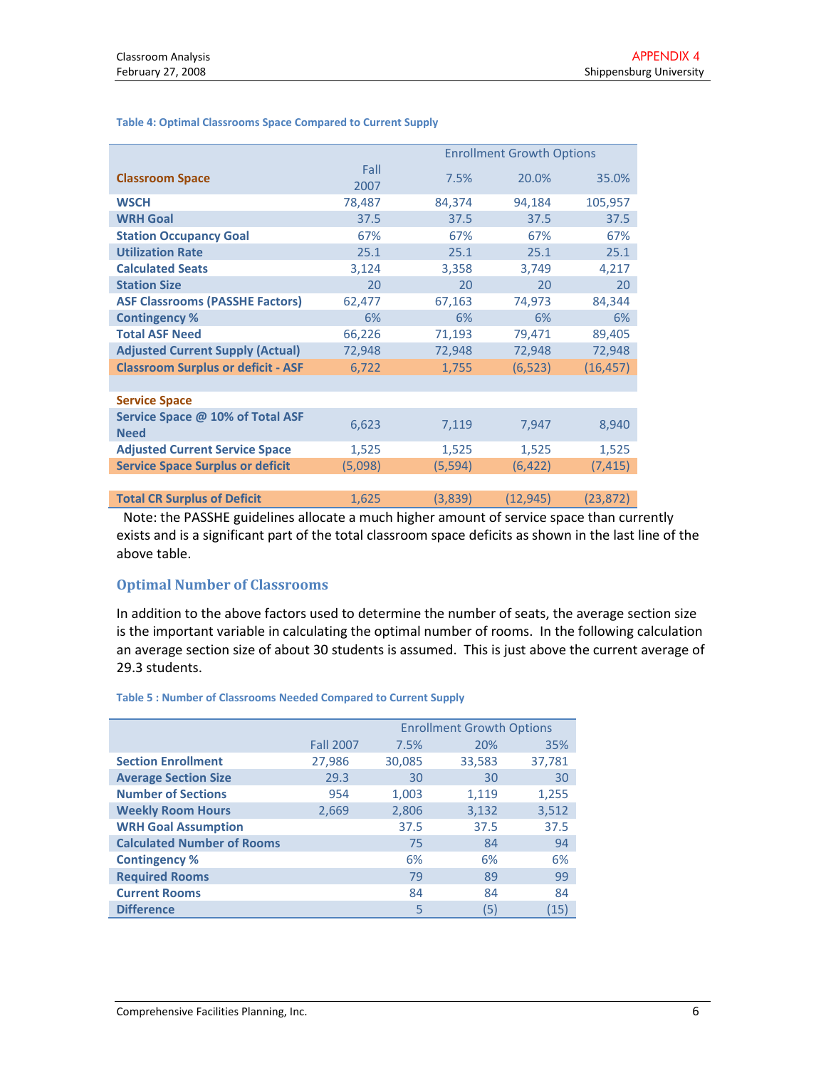|                                                 |              | <b>Enrollment Growth Options</b> |          |           |  |
|-------------------------------------------------|--------------|----------------------------------|----------|-----------|--|
| <b>Classroom Space</b>                          | Fall<br>2007 | 7.5%                             | 20.0%    | 35.0%     |  |
| <b>WSCH</b>                                     | 78,487       | 84,374                           | 94,184   | 105,957   |  |
| <b>WRH Goal</b>                                 | 37.5         | 37.5                             | 37.5     | 37.5      |  |
| <b>Station Occupancy Goal</b>                   | 67%          | 67%                              | 67%      | 67%       |  |
| <b>Utilization Rate</b>                         | 25.1         | 25.1                             | 25.1     | 25.1      |  |
| <b>Calculated Seats</b>                         | 3,124        | 3,358                            | 3,749    | 4,217     |  |
| <b>Station Size</b>                             | 20           | 20                               | 20       | 20        |  |
| <b>ASF Classrooms (PASSHE Factors)</b>          | 62,477       | 67,163                           | 74,973   | 84,344    |  |
| <b>Contingency %</b>                            | 6%           | 6%                               | 6%       | 6%        |  |
| <b>Total ASF Need</b>                           | 66,226       | 71,193                           | 79,471   | 89,405    |  |
| <b>Adjusted Current Supply (Actual)</b>         | 72,948       | 72,948                           | 72,948   | 72,948    |  |
| <b>Classroom Surplus or deficit - ASF</b>       | 6,722        | 1,755                            | (6, 523) | (16, 457) |  |
|                                                 |              |                                  |          |           |  |
| <b>Service Space</b>                            |              |                                  |          |           |  |
| Service Space @ 10% of Total ASF<br><b>Need</b> | 6,623        | 7,119                            | 7,947    | 8,940     |  |
| <b>Adjusted Current Service Space</b>           | 1,525        | 1,525                            | 1,525    | 1,525     |  |
| <b>Service Space Surplus or deficit</b>         | (5,098)      | (5, 594)                         | (6, 422) | (7, 415)  |  |
|                                                 |              |                                  |          |           |  |
| <b>Total CR Surplus of Deficit</b>              | 1,625        | (3,839)                          | (12,945) | (23, 872) |  |

#### Table 4: Optimal Classrooms Space Compared to Current Supply

 Note: the PASSHE guidelines allocate a much higher amount of service space than currently exists and is a significant part of the total classroom space deficits as shown in the last line of the above table.

### Optimal Number of Classrooms

In addition to the above factors used to determine the number of seats, the average section size is the important variable in calculating the optimal number of rooms. In the following calculation an average section size of about 30 students is assumed. This is just above the current average of 29.3 students.

#### Table 5 : Number of Classrooms Needed Compared to Current Supply

|                                   |                  | <b>Enrollment Growth Options</b> |        |        |
|-----------------------------------|------------------|----------------------------------|--------|--------|
|                                   | <b>Fall 2007</b> | 7.5%                             | 20%    | 35%    |
| <b>Section Enrollment</b>         | 27,986           | 30,085                           | 33,583 | 37,781 |
| <b>Average Section Size</b>       | 29.3             | 30                               | 30     | 30     |
| <b>Number of Sections</b>         | 954              | 1,003                            | 1,119  | 1,255  |
| <b>Weekly Room Hours</b>          | 2,669            | 2,806                            | 3,132  | 3,512  |
| <b>WRH Goal Assumption</b>        |                  | 37.5                             | 37.5   | 37.5   |
| <b>Calculated Number of Rooms</b> |                  | 75                               | 84     | 94     |
| <b>Contingency %</b>              |                  | 6%                               | 6%     | 6%     |
| <b>Required Rooms</b>             |                  | 79                               | 89     | 99     |
| <b>Current Rooms</b>              |                  | 84                               | 84     | 84     |
| <b>Difference</b>                 |                  | 5                                | (5)    | (15)   |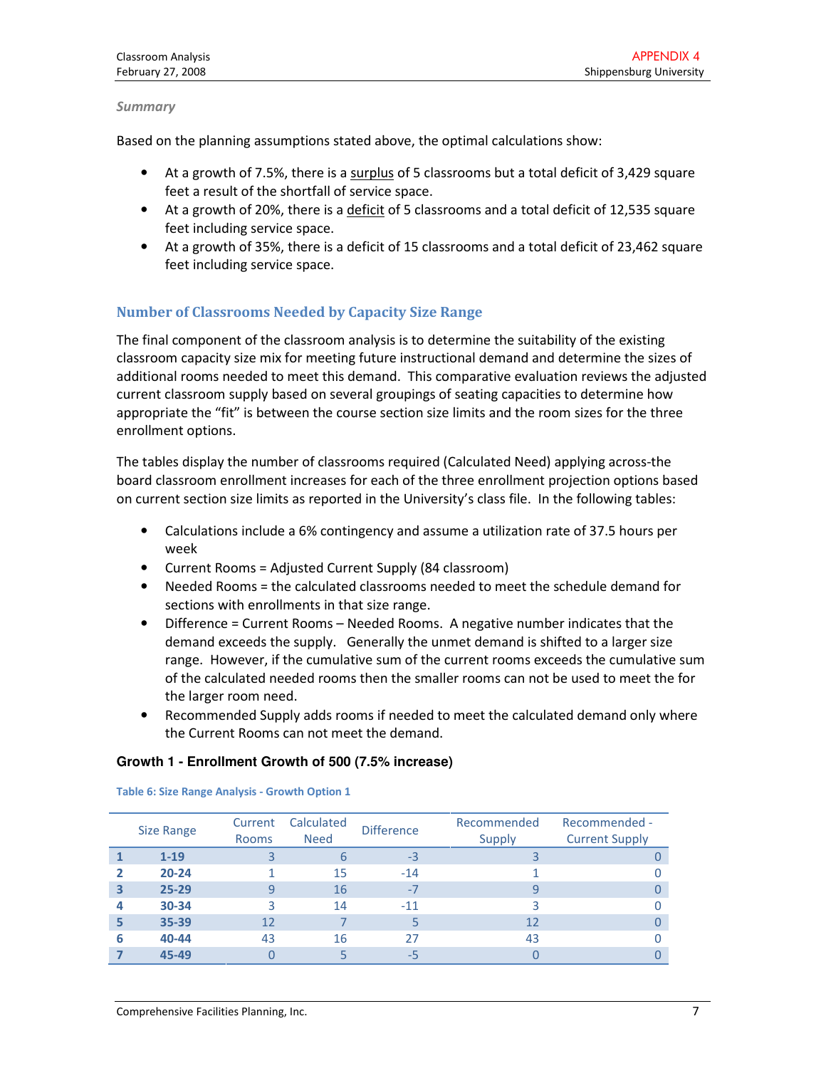#### Summary

Based on the planning assumptions stated above, the optimal calculations show:

- At a growth of 7.5%, there is a surplus of 5 classrooms but a total deficit of 3,429 square feet a result of the shortfall of service space.
- At a growth of 20%, there is a deficit of 5 classrooms and a total deficit of 12,535 square feet including service space.
- At a growth of 35%, there is a deficit of 15 classrooms and a total deficit of 23,462 square feet including service space.

## Number of Classrooms Needed by Capacity Size Range

The final component of the classroom analysis is to determine the suitability of the existing classroom capacity size mix for meeting future instructional demand and determine the sizes of additional rooms needed to meet this demand. This comparative evaluation reviews the adjusted current classroom supply based on several groupings of seating capacities to determine how appropriate the "fit" is between the course section size limits and the room sizes for the three enrollment options.

The tables display the number of classrooms required (Calculated Need) applying across-the board classroom enrollment increases for each of the three enrollment projection options based on current section size limits as reported in the University's class file. In the following tables:

- Calculations include a 6% contingency and assume a utilization rate of 37.5 hours per week
- Current Rooms = Adjusted Current Supply (84 classroom)
- Needed Rooms = the calculated classrooms needed to meet the schedule demand for sections with enrollments in that size range.
- Difference = Current Rooms Needed Rooms. A negative number indicates that the demand exceeds the supply. Generally the unmet demand is shifted to a larger size range. However, if the cumulative sum of the current rooms exceeds the cumulative sum of the calculated needed rooms then the smaller rooms can not be used to meet the for the larger room need.
- Recommended Supply adds rooms if needed to meet the calculated demand only where the Current Rooms can not meet the demand.

#### **Growth 1 - Enrollment Growth of 500 (7.5% increase)**

|   | <b>Size Range</b> | Current<br><b>Rooms</b> | Calculated<br><b>Need</b> | <b>Difference</b> | Recommended<br>Supply | Recommended -<br><b>Current Supply</b> |
|---|-------------------|-------------------------|---------------------------|-------------------|-----------------------|----------------------------------------|
|   | $1 - 19$          |                         |                           | $-3$              |                       |                                        |
|   | $20 - 24$         |                         | 15                        | $-14$             |                       |                                        |
|   | $25 - 29$         |                         | 16                        | $-7$              |                       |                                        |
|   | 30-34             |                         | 14                        | $-11$             |                       |                                        |
|   | 35-39             | 12                      |                           |                   | 12                    |                                        |
| 6 | 40-44             | 43                      | 16                        | 27                | 43                    |                                        |
|   | 45-49             |                         |                           | -5                |                       |                                        |

#### Table 6: Size Range Analysis - Growth Option 1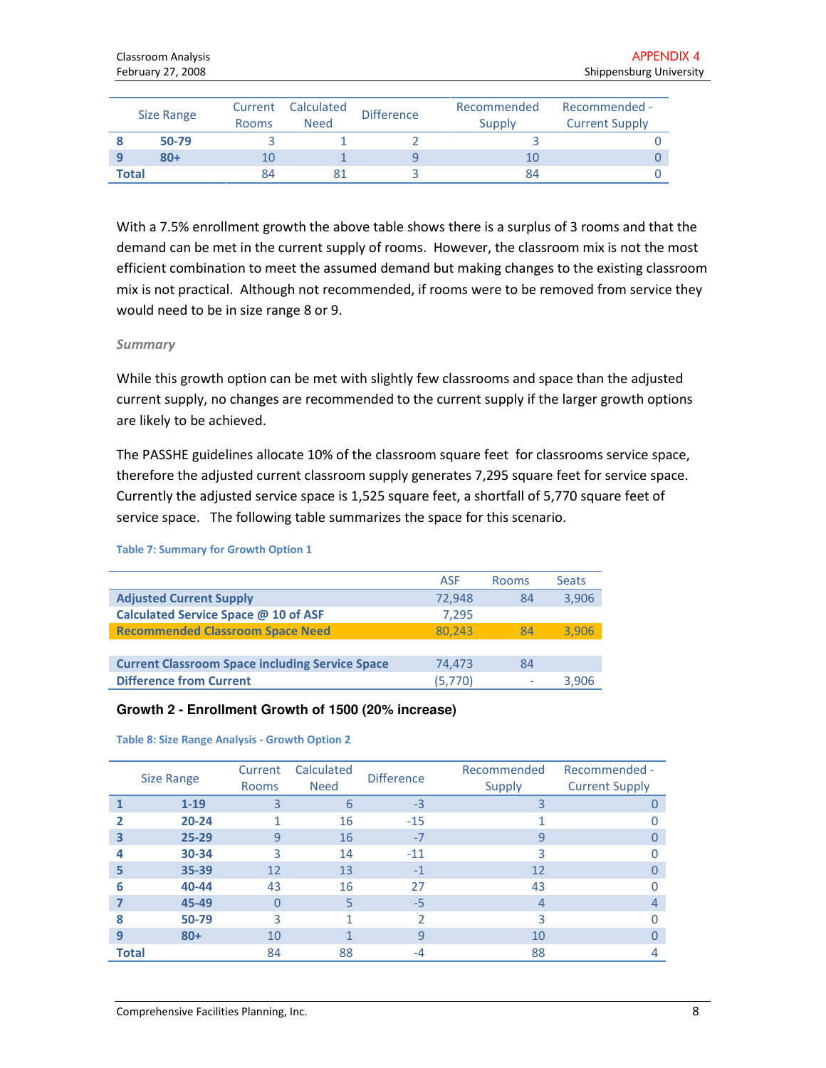| Size Range | Current<br><b>Rooms</b> | Calculated<br><b>Need</b> | <b>Difference</b> | Recommended<br>Supply | Recommended -<br><b>Current Supply</b> |
|------------|-------------------------|---------------------------|-------------------|-----------------------|----------------------------------------|
| 50-79      |                         |                           |                   |                       |                                        |
| $80 +$     | 10                      |                           |                   | 10                    |                                        |
| Total      | 84                      |                           |                   | 84                    |                                        |

With a 7.5% enrollment growth the above table shows there is a surplus of 3 rooms and that the demand can be met in the current supply of rooms. However, the classroom mix is not the most efficient combination to meet the assumed demand but making changes to the existing classroom mix is not practical. Although not recommended, if rooms were to be removed from service they would need to be in size range 8 or 9.

#### Summary

While this growth option can be met with slightly few classrooms and space than the adjusted current supply, no changes are recommended to the current supply if the larger growth options are likely to be achieved.

The PASSHE guidelines allocate 10% of the classroom square feet for classrooms service space, therefore the adjusted current classroom supply generates 7,295 square feet for service space. Currently the adjusted service space is 1,525 square feet, a shortfall of 5,770 square feet of service space. The following table summarizes the space for this scenario.

#### Table 7: Summary for Growth Option 1

|                                                        | <b>ASF</b> | Rooms | <b>Seats</b> |
|--------------------------------------------------------|------------|-------|--------------|
| <b>Adjusted Current Supply</b>                         | 72,948     | 84    | 3,906        |
| Calculated Service Space @ 10 of ASF                   | 7.295      |       |              |
| <b>Recommended Classroom Space Need</b>                | 80.243     | 84    | 3.906        |
|                                                        |            |       |              |
| <b>Current Classroom Space including Service Space</b> | 74.473     | 84    |              |
| <b>Difference from Current</b>                         | (5,770)    | ۰     | 3.906        |

#### **Growth 2 - Enrollment Growth of 1500 (20% increase)**

Table 8: Size Range Analysis - Growth Option 2

|              | <b>Size Range</b> | Current<br><b>Rooms</b> | Calculated<br><b>Need</b> | <b>Difference</b> | Recommended<br>Supply | Recommended -<br><b>Current Supply</b> |
|--------------|-------------------|-------------------------|---------------------------|-------------------|-----------------------|----------------------------------------|
|              | $1 - 19$          | 3                       | 6                         | $-3$              | 3                     |                                        |
|              | $20 - 24$         |                         | 16                        | $-15$             |                       |                                        |
| 3            | $25 - 29$         | 9                       | 16                        | $-7$              | 9                     |                                        |
|              | 30-34             | 3                       | 14                        | $-11$             | 3                     |                                        |
| 5            | 35-39             | 12                      | 13                        | $-1$              | 12                    |                                        |
| 6            | 40-44             | 43                      | 16                        | 27                | 43                    |                                        |
|              | 45-49             | $\Omega$                | 5                         | $-5$              | 4                     |                                        |
| 8            | 50-79             | 3                       |                           | C.                | 3                     | U                                      |
| q            | $80+$             | 10                      |                           | 9                 | 10                    |                                        |
| <b>Total</b> |                   | 84                      | 88                        | $-4$              | 88                    | 4                                      |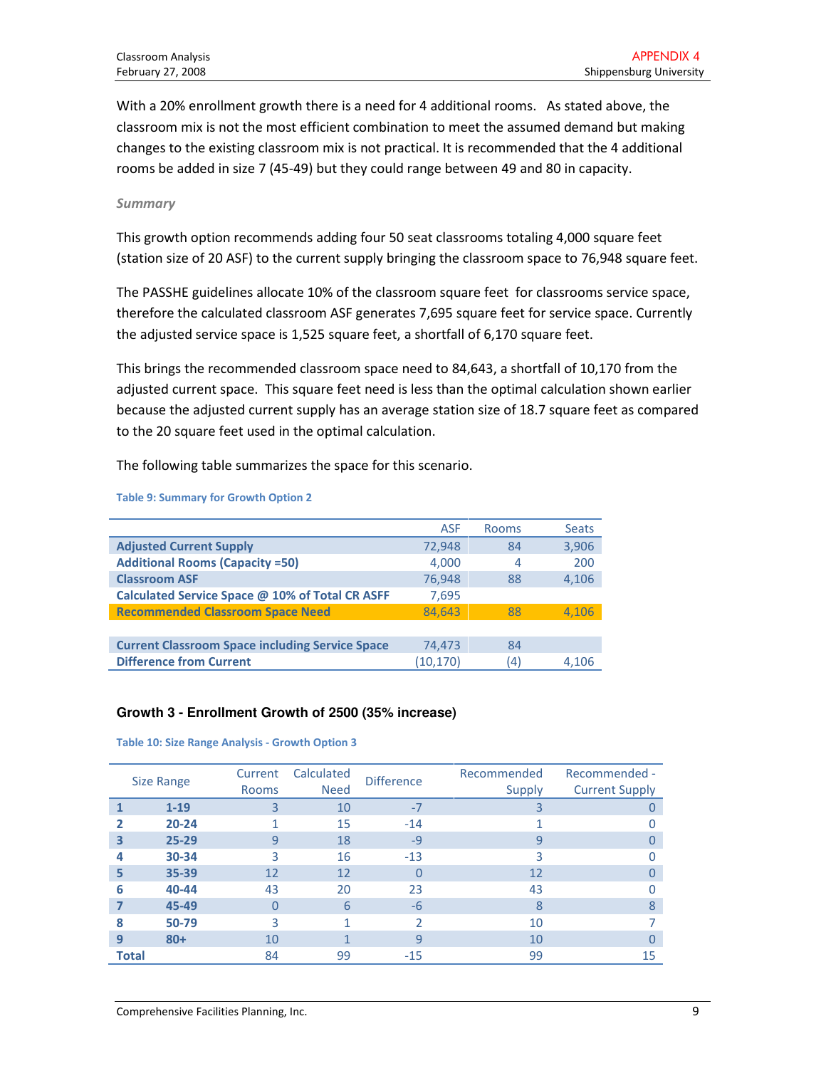With a 20% enrollment growth there is a need for 4 additional rooms. As stated above, the classroom mix is not the most efficient combination to meet the assumed demand but making changes to the existing classroom mix is not practical. It is recommended that the 4 additional rooms be added in size 7 (45-49) but they could range between 49 and 80 in capacity.

#### Summary

This growth option recommends adding four 50 seat classrooms totaling 4,000 square feet (station size of 20 ASF) to the current supply bringing the classroom space to 76,948 square feet.

The PASSHE guidelines allocate 10% of the classroom square feet for classrooms service space, therefore the calculated classroom ASF generates 7,695 square feet for service space. Currently the adjusted service space is 1,525 square feet, a shortfall of 6,170 square feet.

This brings the recommended classroom space need to 84,643, a shortfall of 10,170 from the adjusted current space. This square feet need is less than the optimal calculation shown earlier because the adjusted current supply has an average station size of 18.7 square feet as compared to the 20 square feet used in the optimal calculation.

The following table summarizes the space for this scenario.

Table 9: Summary for Growth Option 2

|                                                        | <b>ASF</b> | Rooms | <b>Seats</b> |
|--------------------------------------------------------|------------|-------|--------------|
| <b>Adjusted Current Supply</b>                         | 72,948     | 84    | 3,906        |
| <b>Additional Rooms (Capacity =50)</b>                 | 4,000      | 4     | 200          |
| <b>Classroom ASF</b>                                   | 76,948     | 88    | 4,106        |
| Calculated Service Space @ 10% of Total CR ASFF        | 7,695      |       |              |
| <b>Recommended Classroom Space Need</b>                | 84.643     | 88    | 4,106        |
|                                                        |            |       |              |
| <b>Current Classroom Space including Service Space</b> | 74,473     | 84    |              |
| <b>Difference from Current</b>                         | (10.170)   | (4)   | 4.106        |

#### **Growth 3 - Enrollment Growth of 2500 (35% increase)**

Table 10: Size Range Analysis - Growth Option 3

|              | <b>Size Range</b> | Current<br><b>Rooms</b> | Calculated<br><b>Need</b> | <b>Difference</b> | Recommended<br><b>Supply</b> | Recommended -<br><b>Current Supply</b> |
|--------------|-------------------|-------------------------|---------------------------|-------------------|------------------------------|----------------------------------------|
|              | $1 - 19$          | 3                       | 10                        | $-7$              | 3                            |                                        |
| 2            | $20 - 24$         | 1                       | 15                        | $-14$             |                              |                                        |
| 3            | $25 - 29$         | 9                       | 18                        | $-9$              | 9                            |                                        |
| 4            | 30-34             | 3                       | 16                        | $-13$             | 3                            |                                        |
| 5            | 35-39             | 12                      | 12                        | $\Omega$          | 12                           |                                        |
| 6            | 40-44             | 43                      | 20                        | 23                | 43                           |                                        |
|              | 45-49             | 0                       | 6                         | $-6$              | 8                            | ጸ                                      |
| 8            | 50-79             | 3                       | 1                         |                   | 10                           |                                        |
| 9            | $80+$             | 10                      |                           | 9                 | 10                           |                                        |
| <b>Total</b> |                   | 84                      | 99                        | $-15$             | 99                           | 15                                     |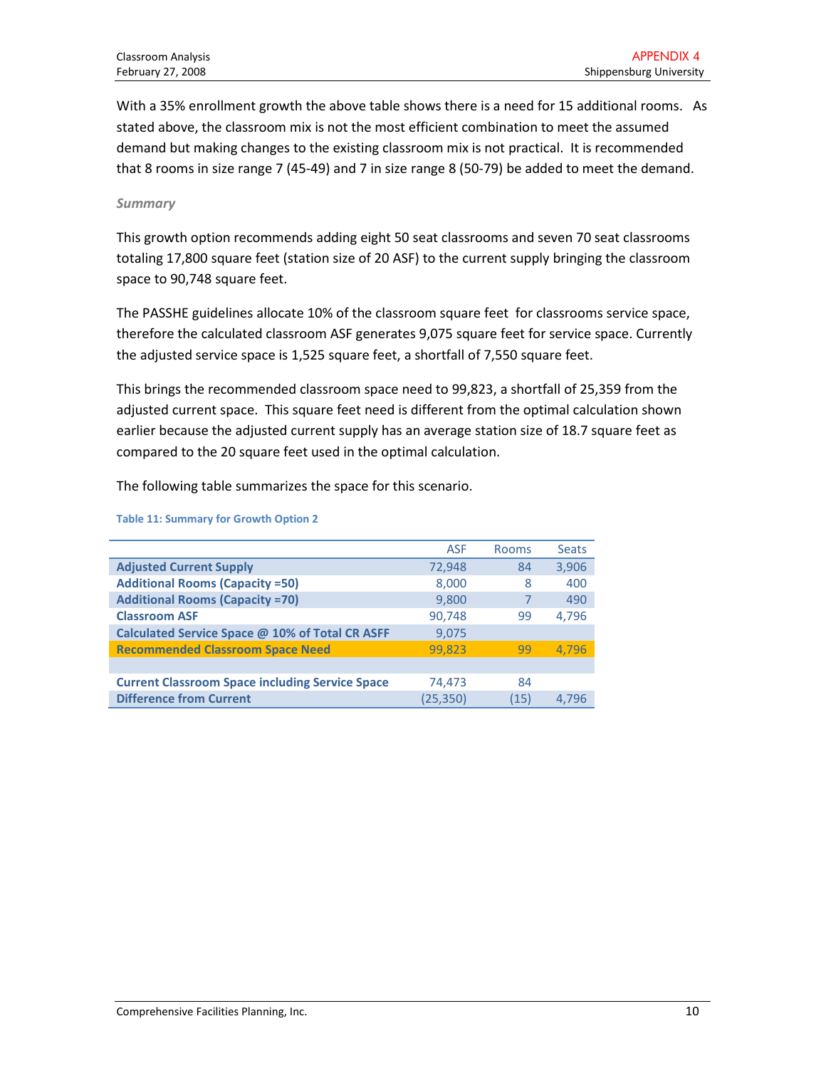With a 35% enrollment growth the above table shows there is a need for 15 additional rooms. As stated above, the classroom mix is not the most efficient combination to meet the assumed demand but making changes to the existing classroom mix is not practical. It is recommended that 8 rooms in size range 7 (45-49) and 7 in size range 8 (50-79) be added to meet the demand.

#### **Summary**

This growth option recommends adding eight 50 seat classrooms and seven 70 seat classrooms totaling 17,800 square feet (station size of 20 ASF) to the current supply bringing the classroom space to 90,748 square feet.

The PASSHE guidelines allocate 10% of the classroom square feet for classrooms service space, therefore the calculated classroom ASF generates 9,075 square feet for service space. Currently the adjusted service space is 1,525 square feet, a shortfall of 7,550 square feet.

This brings the recommended classroom space need to 99,823, a shortfall of 25,359 from the adjusted current space. This square feet need is different from the optimal calculation shown earlier because the adjusted current supply has an average station size of 18.7 square feet as compared to the 20 square feet used in the optimal calculation.

The following table summarizes the space for this scenario.

|                                                        | <b>ASF</b> | <b>Rooms</b> | <b>Seats</b> |
|--------------------------------------------------------|------------|--------------|--------------|
| <b>Adjusted Current Supply</b>                         | 72,948     | 84           | 3,906        |
| <b>Additional Rooms (Capacity =50)</b>                 | 8,000      | 8            | 400          |
| <b>Additional Rooms (Capacity =70)</b>                 | 9,800      |              | 490          |
| <b>Classroom ASF</b>                                   | 90,748     | 99           | 4,796        |
| Calculated Service Space @ 10% of Total CR ASFF        | 9,075      |              |              |
| <b>Recommended Classroom Space Need</b>                | 99.823     | 99           | 4.796        |
|                                                        |            |              |              |
| <b>Current Classroom Space including Service Space</b> | 74,473     | 84           |              |
| <b>Difference from Current</b>                         | (25, 350)  | (15)         | 4.796        |

#### Table 11: Summary for Growth Option 2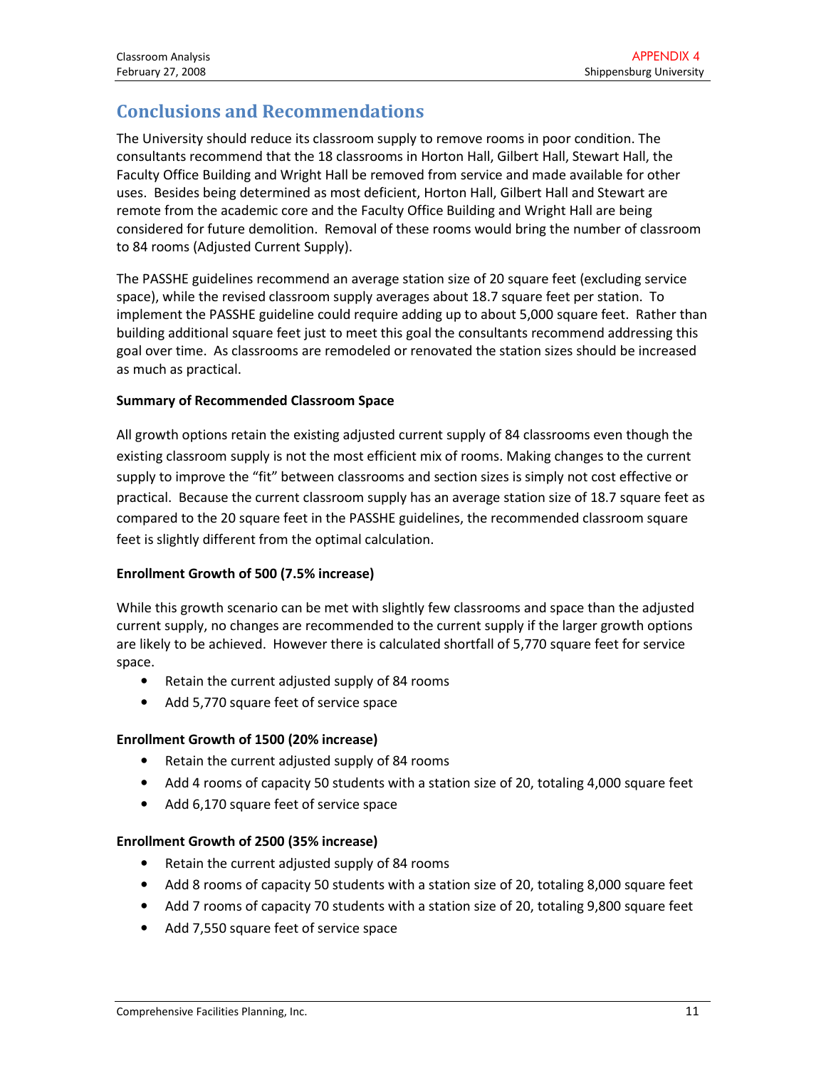# Conclusions and Recommendations

The University should reduce its classroom supply to remove rooms in poor condition. The consultants recommend that the 18 classrooms in Horton Hall, Gilbert Hall, Stewart Hall, the Faculty Office Building and Wright Hall be removed from service and made available for other uses. Besides being determined as most deficient, Horton Hall, Gilbert Hall and Stewart are remote from the academic core and the Faculty Office Building and Wright Hall are being considered for future demolition. Removal of these rooms would bring the number of classroom to 84 rooms (Adjusted Current Supply).

The PASSHE guidelines recommend an average station size of 20 square feet (excluding service space), while the revised classroom supply averages about 18.7 square feet per station. To implement the PASSHE guideline could require adding up to about 5,000 square feet. Rather than building additional square feet just to meet this goal the consultants recommend addressing this goal over time. As classrooms are remodeled or renovated the station sizes should be increased as much as practical.

### Summary of Recommended Classroom Space

All growth options retain the existing adjusted current supply of 84 classrooms even though the existing classroom supply is not the most efficient mix of rooms. Making changes to the current supply to improve the "fit" between classrooms and section sizes is simply not cost effective or practical. Because the current classroom supply has an average station size of 18.7 square feet as compared to the 20 square feet in the PASSHE guidelines, the recommended classroom square feet is slightly different from the optimal calculation.

## Enrollment Growth of 500 (7.5% increase)

While this growth scenario can be met with slightly few classrooms and space than the adjusted current supply, no changes are recommended to the current supply if the larger growth options are likely to be achieved. However there is calculated shortfall of 5,770 square feet for service space.

- Retain the current adjusted supply of 84 rooms
- Add 5,770 square feet of service space

### Enrollment Growth of 1500 (20% increase)

- Retain the current adjusted supply of 84 rooms
- Add 4 rooms of capacity 50 students with a station size of 20, totaling 4,000 square feet
- Add 6,170 square feet of service space

### Enrollment Growth of 2500 (35% increase)

- Retain the current adjusted supply of 84 rooms
- Add 8 rooms of capacity 50 students with a station size of 20, totaling 8,000 square feet
- Add 7 rooms of capacity 70 students with a station size of 20, totaling 9,800 square feet
- Add 7,550 square feet of service space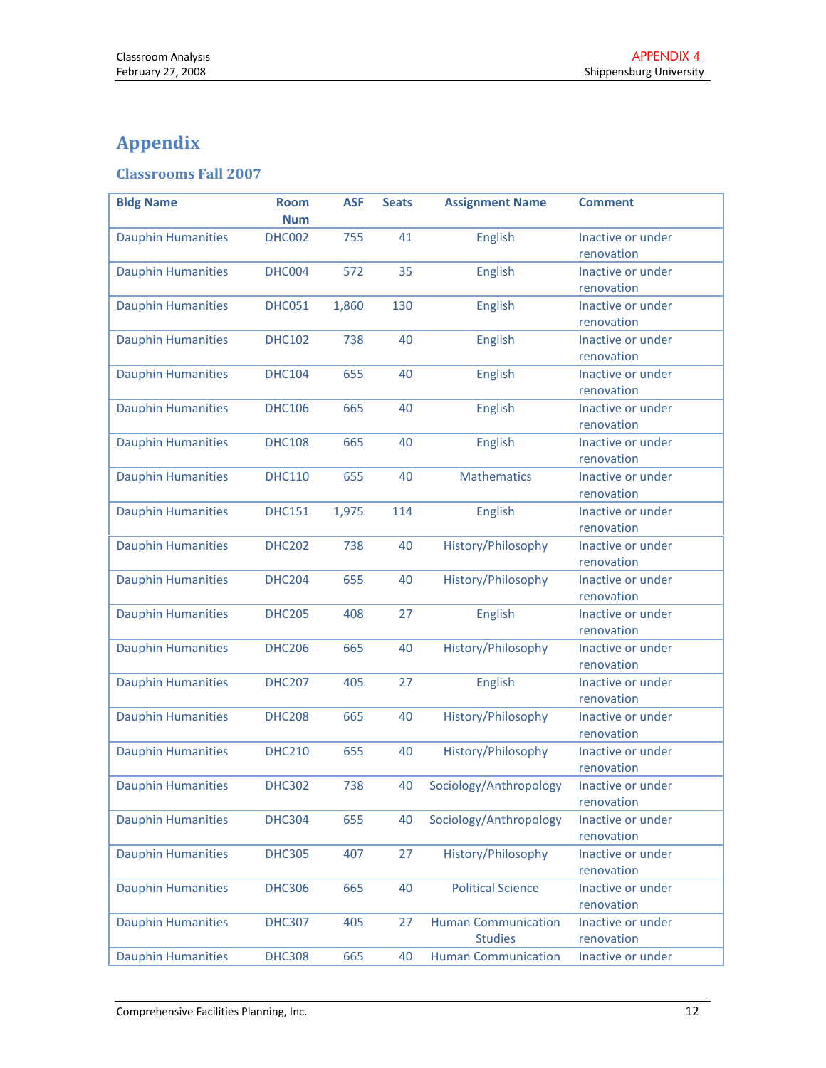# Appendix

# Classrooms Fall 2007

| <b>Bldg Name</b>          | <b>Room</b><br><b>Num</b> | <b>ASF</b> | <b>Seats</b> | <b>Assignment Name</b>                       | <b>Comment</b>                  |
|---------------------------|---------------------------|------------|--------------|----------------------------------------------|---------------------------------|
| <b>Dauphin Humanities</b> | <b>DHC002</b>             | 755        | 41           | English                                      | Inactive or under<br>renovation |
| <b>Dauphin Humanities</b> | DHC004                    | 572        | 35           | English                                      | Inactive or under<br>renovation |
| <b>Dauphin Humanities</b> | <b>DHC051</b>             | 1,860      | 130          | <b>English</b>                               | Inactive or under<br>renovation |
| <b>Dauphin Humanities</b> | <b>DHC102</b>             | 738        | 40           | <b>English</b>                               | Inactive or under<br>renovation |
| <b>Dauphin Humanities</b> | <b>DHC104</b>             | 655        | 40           | English                                      | Inactive or under<br>renovation |
| <b>Dauphin Humanities</b> | <b>DHC106</b>             | 665        | 40           | <b>English</b>                               | Inactive or under<br>renovation |
| <b>Dauphin Humanities</b> | <b>DHC108</b>             | 665        | 40           | English                                      | Inactive or under<br>renovation |
| <b>Dauphin Humanities</b> | <b>DHC110</b>             | 655        | 40           | <b>Mathematics</b>                           | Inactive or under<br>renovation |
| <b>Dauphin Humanities</b> | <b>DHC151</b>             | 1,975      | 114          | English                                      | Inactive or under<br>renovation |
| <b>Dauphin Humanities</b> | <b>DHC202</b>             | 738        | 40           | History/Philosophy                           | Inactive or under<br>renovation |
| <b>Dauphin Humanities</b> | <b>DHC204</b>             | 655        | 40           | History/Philosophy                           | Inactive or under<br>renovation |
| <b>Dauphin Humanities</b> | <b>DHC205</b>             | 408        | 27           | <b>English</b>                               | Inactive or under<br>renovation |
| <b>Dauphin Humanities</b> | <b>DHC206</b>             | 665        | 40           | History/Philosophy                           | Inactive or under<br>renovation |
| <b>Dauphin Humanities</b> | <b>DHC207</b>             | 405        | 27           | English                                      | Inactive or under<br>renovation |
| <b>Dauphin Humanities</b> | <b>DHC208</b>             | 665        | 40           | History/Philosophy                           | Inactive or under<br>renovation |
| <b>Dauphin Humanities</b> | <b>DHC210</b>             | 655        | 40           | History/Philosophy                           | Inactive or under<br>renovation |
| <b>Dauphin Humanities</b> | <b>DHC302</b>             | 738        | 40           | Sociology/Anthropology                       | Inactive or under<br>renovation |
| <b>Dauphin Humanities</b> | <b>DHC304</b>             | 655        | 40           | Sociology/Anthropology                       | Inactive or under<br>renovation |
| <b>Dauphin Humanities</b> | <b>DHC305</b>             | 407        | 27           | History/Philosophy                           | Inactive or under<br>renovation |
| <b>Dauphin Humanities</b> | <b>DHC306</b>             | 665        | 40           | <b>Political Science</b>                     | Inactive or under<br>renovation |
| <b>Dauphin Humanities</b> | <b>DHC307</b>             | 405        | 27           | <b>Human Communication</b><br><b>Studies</b> | Inactive or under<br>renovation |
| <b>Dauphin Humanities</b> | <b>DHC308</b>             | 665        | 40           | <b>Human Communication</b>                   | Inactive or under               |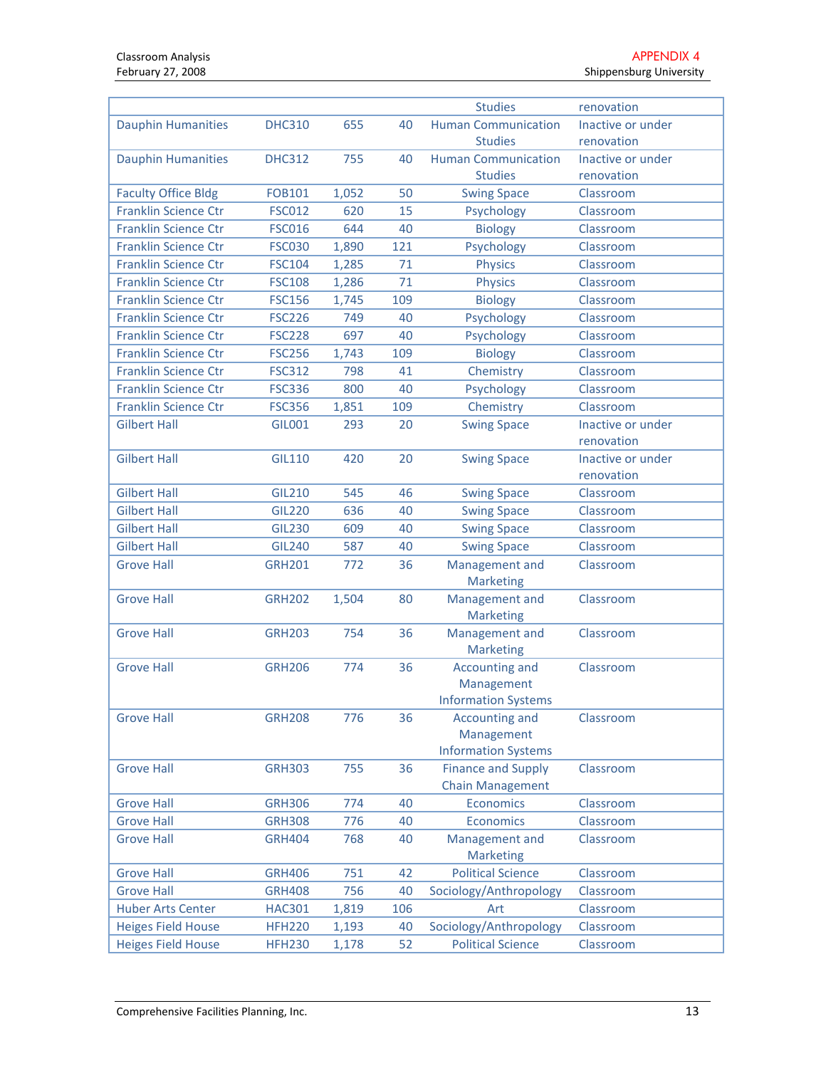|                             |               |       |     | <b>Studies</b>             | renovation        |
|-----------------------------|---------------|-------|-----|----------------------------|-------------------|
| <b>Dauphin Humanities</b>   | <b>DHC310</b> | 655   | 40  | <b>Human Communication</b> | Inactive or under |
|                             |               |       |     | <b>Studies</b>             | renovation        |
| <b>Dauphin Humanities</b>   | <b>DHC312</b> | 755   | 40  | <b>Human Communication</b> | Inactive or under |
|                             |               |       |     | <b>Studies</b>             | renovation        |
| <b>Faculty Office Bldg</b>  | <b>FOB101</b> | 1,052 | 50  | <b>Swing Space</b>         | Classroom         |
| <b>Franklin Science Ctr</b> | <b>FSC012</b> | 620   | 15  | Psychology                 | Classroom         |
| <b>Franklin Science Ctr</b> | <b>FSC016</b> | 644   | 40  | <b>Biology</b>             | Classroom         |
| <b>Franklin Science Ctr</b> | <b>FSC030</b> | 1,890 | 121 | Psychology                 | Classroom         |
| <b>Franklin Science Ctr</b> | <b>FSC104</b> | 1,285 | 71  | <b>Physics</b>             | Classroom         |
| <b>Franklin Science Ctr</b> | <b>FSC108</b> | 1,286 | 71  | <b>Physics</b>             | Classroom         |
| <b>Franklin Science Ctr</b> | <b>FSC156</b> | 1,745 | 109 | <b>Biology</b>             | Classroom         |
| <b>Franklin Science Ctr</b> | <b>FSC226</b> | 749   | 40  | Psychology                 | Classroom         |
| <b>Franklin Science Ctr</b> | <b>FSC228</b> | 697   | 40  | Psychology                 | Classroom         |
| <b>Franklin Science Ctr</b> | <b>FSC256</b> | 1,743 | 109 | <b>Biology</b>             | Classroom         |
| <b>Franklin Science Ctr</b> | <b>FSC312</b> | 798   | 41  | Chemistry                  | Classroom         |
| <b>Franklin Science Ctr</b> | <b>FSC336</b> | 800   | 40  | Psychology                 | Classroom         |
| <b>Franklin Science Ctr</b> | <b>FSC356</b> | 1,851 | 109 | Chemistry                  | Classroom         |
| <b>Gilbert Hall</b>         | <b>GIL001</b> | 293   | 20  | <b>Swing Space</b>         | Inactive or under |
|                             |               |       |     |                            | renovation        |
| <b>Gilbert Hall</b>         | <b>GIL110</b> | 420   | 20  | <b>Swing Space</b>         | Inactive or under |
|                             |               |       |     |                            | renovation        |
| <b>Gilbert Hall</b>         | <b>GIL210</b> | 545   | 46  | <b>Swing Space</b>         | Classroom         |
| <b>Gilbert Hall</b>         | <b>GIL220</b> | 636   | 40  | <b>Swing Space</b>         | Classroom         |
| <b>Gilbert Hall</b>         | <b>GIL230</b> | 609   | 40  | <b>Swing Space</b>         | Classroom         |
| <b>Gilbert Hall</b>         | <b>GIL240</b> | 587   | 40  | <b>Swing Space</b>         | Classroom         |
| <b>Grove Hall</b>           | <b>GRH201</b> | 772   | 36  | Management and             | Classroom         |
|                             |               |       |     | <b>Marketing</b>           |                   |
| <b>Grove Hall</b>           | <b>GRH202</b> | 1,504 | 80  | Management and             | Classroom         |
|                             |               |       |     | <b>Marketing</b>           |                   |
| <b>Grove Hall</b>           | <b>GRH203</b> | 754   | 36  | Management and             | Classroom         |
|                             |               |       |     | <b>Marketing</b>           |                   |
| <b>Grove Hall</b>           | <b>GRH206</b> | 774   | 36  | <b>Accounting and</b>      | Classroom         |
|                             |               |       |     | Management                 |                   |
|                             |               |       |     | <b>Information Systems</b> |                   |
| <b>Grove Hall</b>           | <b>GRH208</b> | 776   | 36  | Accounting and             | Classroom         |
|                             |               |       |     | Management                 |                   |
|                             |               |       |     | <b>Information Systems</b> |                   |
| <b>Grove Hall</b>           | <b>GRH303</b> | 755   | 36  | <b>Finance and Supply</b>  | Classroom         |
|                             |               |       |     | <b>Chain Management</b>    |                   |
| <b>Grove Hall</b>           | <b>GRH306</b> | 774   | 40  | <b>Economics</b>           | Classroom         |
| <b>Grove Hall</b>           | <b>GRH308</b> | 776   | 40  | <b>Economics</b>           | Classroom         |
| <b>Grove Hall</b>           | <b>GRH404</b> | 768   | 40  | Management and             | Classroom         |
|                             |               |       |     | <b>Marketing</b>           |                   |
| <b>Grove Hall</b>           | <b>GRH406</b> | 751   | 42  | <b>Political Science</b>   | Classroom         |
| <b>Grove Hall</b>           | <b>GRH408</b> | 756   | 40  | Sociology/Anthropology     | Classroom         |
| <b>Huber Arts Center</b>    | <b>HAC301</b> | 1,819 | 106 | Art                        | Classroom         |
| <b>Heiges Field House</b>   | <b>HFH220</b> | 1,193 | 40  | Sociology/Anthropology     | Classroom         |
| <b>Heiges Field House</b>   | <b>HFH230</b> | 1,178 | 52  | <b>Political Science</b>   | Classroom         |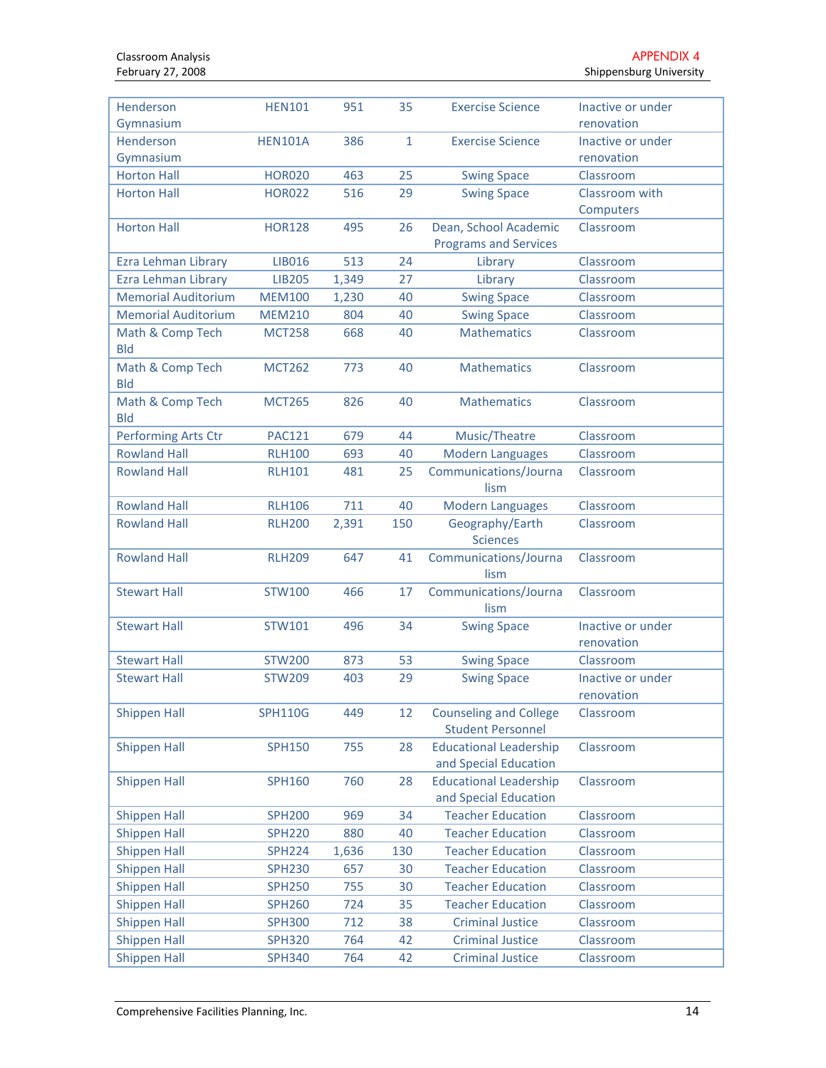| Henderson<br>Gymnasium     | <b>HEN101</b>  | 951   | 35           | <b>Exercise Science</b>                                   | Inactive or under<br>renovation |
|----------------------------|----------------|-------|--------------|-----------------------------------------------------------|---------------------------------|
| Henderson                  | <b>HEN101A</b> | 386   | $\mathbf{1}$ | <b>Exercise Science</b>                                   | Inactive or under               |
| Gymnasium                  |                |       |              |                                                           | renovation                      |
| <b>Horton Hall</b>         | <b>HOR020</b>  | 463   | 25           | <b>Swing Space</b>                                        | Classroom                       |
| <b>Horton Hall</b>         | <b>HOR022</b>  | 516   | 29           | <b>Swing Space</b>                                        | Classroom with                  |
|                            |                |       |              |                                                           | Computers                       |
| <b>Horton Hall</b>         | <b>HOR128</b>  | 495   | 26           | Dean, School Academic                                     | Classroom                       |
|                            |                |       |              | <b>Programs and Services</b>                              |                                 |
| Ezra Lehman Library        | LIB016         | 513   | 24           | Library                                                   | Classroom                       |
| Ezra Lehman Library        | <b>LIB205</b>  | 1,349 | 27           | Library                                                   | Classroom                       |
| <b>Memorial Auditorium</b> | <b>MEM100</b>  | 1,230 | 40           | <b>Swing Space</b>                                        | Classroom                       |
| <b>Memorial Auditorium</b> | <b>MEM210</b>  | 804   | 40           | <b>Swing Space</b>                                        | Classroom                       |
| Math & Comp Tech           | <b>MCT258</b>  | 668   | 40           | <b>Mathematics</b>                                        | Classroom                       |
| <b>Bld</b>                 |                |       |              |                                                           |                                 |
| Math & Comp Tech           | <b>MCT262</b>  | 773   | 40           | <b>Mathematics</b>                                        | Classroom                       |
| <b>Bld</b>                 |                |       |              |                                                           |                                 |
| Math & Comp Tech           | <b>MCT265</b>  | 826   | 40           | <b>Mathematics</b>                                        | Classroom                       |
| <b>Bld</b>                 |                |       |              |                                                           |                                 |
| Performing Arts Ctr        | <b>PAC121</b>  | 679   | 44           | Music/Theatre                                             | Classroom                       |
| <b>Rowland Hall</b>        | <b>RLH100</b>  | 693   | 40           | <b>Modern Languages</b>                                   | Classroom                       |
| <b>Rowland Hall</b>        | <b>RLH101</b>  | 481   | 25           | Communications/Journa<br>lism                             | Classroom                       |
| <b>Rowland Hall</b>        | <b>RLH106</b>  | 711   | 40           | <b>Modern Languages</b>                                   | Classroom                       |
| <b>Rowland Hall</b>        | <b>RLH200</b>  | 2,391 | 150          | Geography/Earth                                           | Classroom                       |
|                            |                |       |              | <b>Sciences</b>                                           |                                 |
| <b>Rowland Hall</b>        | <b>RLH209</b>  | 647   | 41           | Communications/Journa                                     | Classroom                       |
|                            |                |       |              | lism                                                      |                                 |
| <b>Stewart Hall</b>        | <b>STW100</b>  | 466   | 17           | Communications/Journa                                     | Classroom                       |
|                            |                |       |              | lism                                                      |                                 |
| <b>Stewart Hall</b>        | STW101         | 496   | 34           | <b>Swing Space</b>                                        | Inactive or under               |
|                            |                |       |              |                                                           | renovation                      |
| <b>Stewart Hall</b>        | <b>STW200</b>  | 873   | 53           | <b>Swing Space</b>                                        | Classroom                       |
| <b>Stewart Hall</b>        | <b>STW209</b>  | 403   | 29           | <b>Swing Space</b>                                        | Inactive or under               |
|                            |                |       |              |                                                           | renovation                      |
| <b>Shippen Hall</b>        | <b>SPH110G</b> | 449   | 12           | <b>Counseling and College</b><br><b>Student Personnel</b> | Classroom                       |
| <b>Shippen Hall</b>        |                | 755   | 28           | <b>Educational Leadership</b>                             | Classroom                       |
|                            | <b>SPH150</b>  |       |              | and Special Education                                     |                                 |
| <b>Shippen Hall</b>        | <b>SPH160</b>  | 760   | 28           | <b>Educational Leadership</b>                             | Classroom                       |
|                            |                |       |              | and Special Education                                     |                                 |
| <b>Shippen Hall</b>        | <b>SPH200</b>  | 969   | 34           | <b>Teacher Education</b>                                  | Classroom                       |
| <b>Shippen Hall</b>        | <b>SPH220</b>  | 880   | 40           | <b>Teacher Education</b>                                  | Classroom                       |
| <b>Shippen Hall</b>        | <b>SPH224</b>  | 1,636 | 130          | <b>Teacher Education</b>                                  | Classroom                       |
| <b>Shippen Hall</b>        | <b>SPH230</b>  | 657   | 30           | <b>Teacher Education</b>                                  | Classroom                       |
| <b>Shippen Hall</b>        | <b>SPH250</b>  | 755   | 30           | <b>Teacher Education</b>                                  | Classroom                       |
| <b>Shippen Hall</b>        | <b>SPH260</b>  | 724   | 35           | <b>Teacher Education</b>                                  | Classroom                       |
| <b>Shippen Hall</b>        | <b>SPH300</b>  | 712   | 38           | <b>Criminal Justice</b>                                   | Classroom                       |
| <b>Shippen Hall</b>        | <b>SPH320</b>  | 764   | 42           | <b>Criminal Justice</b>                                   | Classroom                       |
| <b>Shippen Hall</b>        | <b>SPH340</b>  | 764   | 42           | <b>Criminal Justice</b>                                   | Classroom                       |
|                            |                |       |              |                                                           |                                 |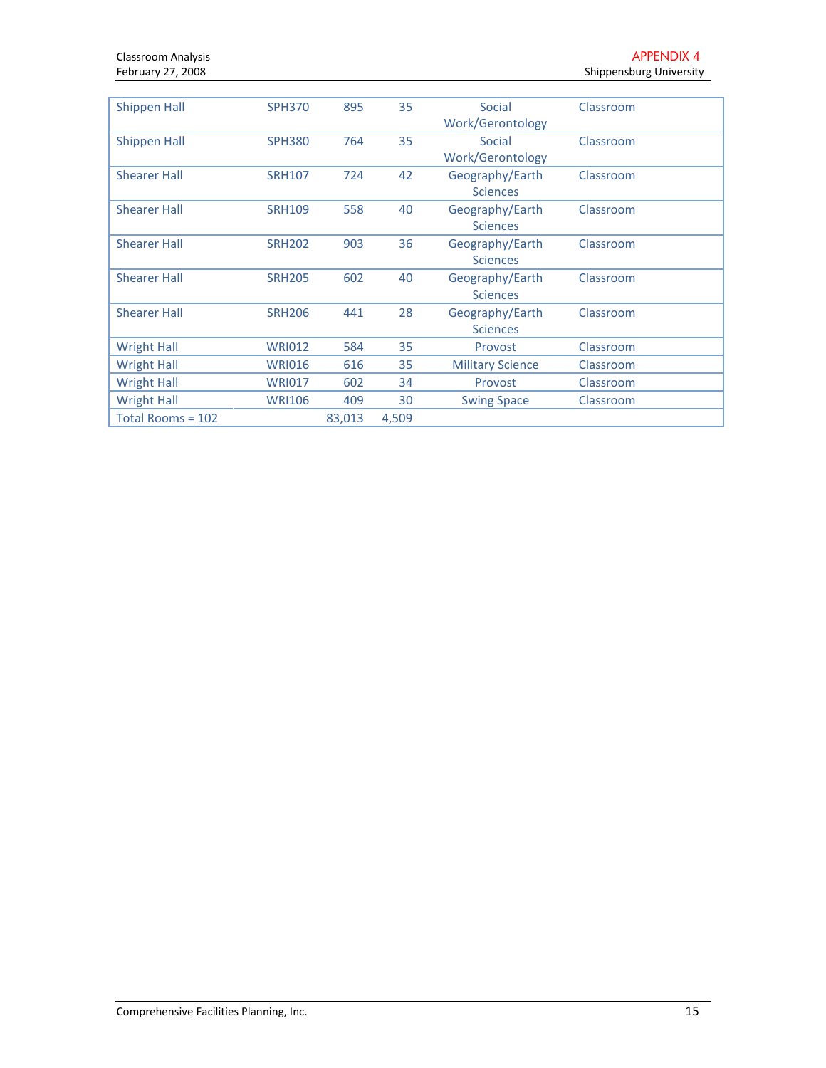| <b>Shippen Hall</b> | <b>SPH370</b> | 895    | 35    | Social                  | Classroom |
|---------------------|---------------|--------|-------|-------------------------|-----------|
|                     |               |        |       | Work/Gerontology        |           |
| <b>Shippen Hall</b> | <b>SPH380</b> | 764    | 35    | Social                  | Classroom |
|                     |               |        |       | Work/Gerontology        |           |
| <b>Shearer Hall</b> | <b>SRH107</b> | 724    | 42    | Geography/Earth         | Classroom |
|                     |               |        |       | <b>Sciences</b>         |           |
| <b>Shearer Hall</b> | <b>SRH109</b> | 558    | 40    | Geography/Earth         | Classroom |
|                     |               |        |       | <b>Sciences</b>         |           |
| <b>Shearer Hall</b> | <b>SRH202</b> | 903    | 36    | Geography/Earth         | Classroom |
|                     |               |        |       | <b>Sciences</b>         |           |
| <b>Shearer Hall</b> | <b>SRH205</b> | 602    | 40    | Geography/Earth         | Classroom |
|                     |               |        |       | <b>Sciences</b>         |           |
| <b>Shearer Hall</b> | <b>SRH206</b> | 441    | 28    | Geography/Earth         | Classroom |
|                     |               |        |       | <b>Sciences</b>         |           |
| <b>Wright Hall</b>  | <b>WRI012</b> | 584    | 35    | Provost                 | Classroom |
| <b>Wright Hall</b>  | <b>WRI016</b> | 616    | 35    | <b>Military Science</b> | Classroom |
| <b>Wright Hall</b>  | <b>WRI017</b> | 602    | 34    | Provost                 | Classroom |
| <b>Wright Hall</b>  | <b>WRI106</b> | 409    | 30    | <b>Swing Space</b>      | Classroom |
| Total Rooms = 102   |               | 83,013 | 4.509 |                         |           |
|                     |               |        |       |                         |           |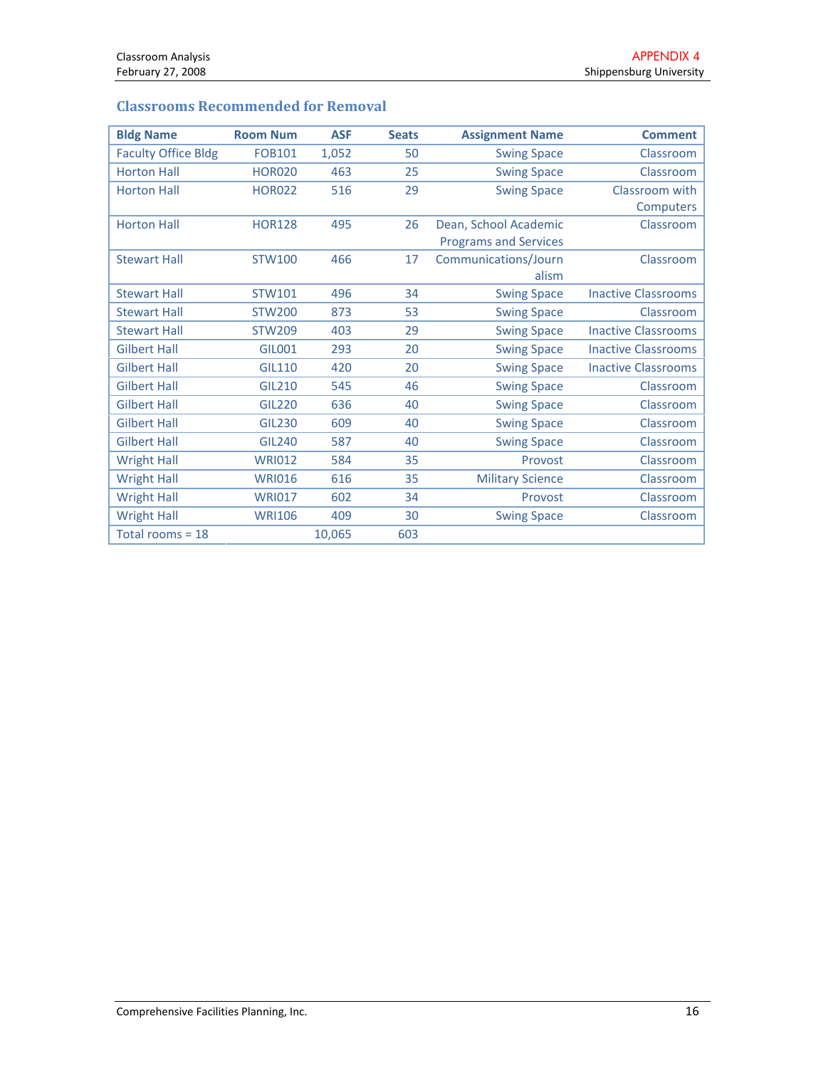# Classrooms Recommended for Removal

| <b>Bldg Name</b>           | <b>Room Num</b> | <b>ASF</b> | <b>Seats</b> | <b>Assignment Name</b>       | <b>Comment</b>             |
|----------------------------|-----------------|------------|--------------|------------------------------|----------------------------|
| <b>Faculty Office Bldg</b> | <b>FOB101</b>   | 1,052      | 50           | <b>Swing Space</b>           | Classroom                  |
| <b>Horton Hall</b>         | <b>HOR020</b>   | 463        | 25           | <b>Swing Space</b>           | Classroom                  |
| <b>Horton Hall</b>         | <b>HOR022</b>   | 516        | 29           | <b>Swing Space</b>           | Classroom with             |
|                            |                 |            |              |                              | Computers                  |
| <b>Horton Hall</b>         | <b>HOR128</b>   | 495        | 26           | Dean, School Academic        | Classroom                  |
|                            |                 |            |              | <b>Programs and Services</b> |                            |
| <b>Stewart Hall</b>        | <b>STW100</b>   | 466        | 17           | Communications/Journ         | Classroom                  |
|                            |                 |            |              | alism                        |                            |
| <b>Stewart Hall</b>        | STW101          | 496        | 34           | <b>Swing Space</b>           | <b>Inactive Classrooms</b> |
| <b>Stewart Hall</b>        | <b>STW200</b>   | 873        | 53           | <b>Swing Space</b>           | Classroom                  |
| <b>Stewart Hall</b>        | <b>STW209</b>   | 403        | 29           | <b>Swing Space</b>           | <b>Inactive Classrooms</b> |
| <b>Gilbert Hall</b>        | <b>GIL001</b>   | 293        | 20           | <b>Swing Space</b>           | <b>Inactive Classrooms</b> |
| <b>Gilbert Hall</b>        | <b>GIL110</b>   | 420        | 20           | <b>Swing Space</b>           | <b>Inactive Classrooms</b> |
| <b>Gilbert Hall</b>        | <b>GIL210</b>   | 545        | 46           | <b>Swing Space</b>           | Classroom                  |
| <b>Gilbert Hall</b>        | <b>GIL220</b>   | 636        | 40           | <b>Swing Space</b>           | Classroom                  |
| <b>Gilbert Hall</b>        | <b>GIL230</b>   | 609        | 40           | <b>Swing Space</b>           | Classroom                  |
| <b>Gilbert Hall</b>        | <b>GIL240</b>   | 587        | 40           | <b>Swing Space</b>           | Classroom                  |
| <b>Wright Hall</b>         | <b>WRI012</b>   | 584        | 35           | Provost                      | Classroom                  |
| <b>Wright Hall</b>         | <b>WRI016</b>   | 616        | 35           | <b>Military Science</b>      | Classroom                  |
| <b>Wright Hall</b>         | <b>WRI017</b>   | 602        | 34           | Provost                      | Classroom                  |
| <b>Wright Hall</b>         | <b>WRI106</b>   | 409        | 30           | <b>Swing Space</b>           | Classroom                  |
| Total rooms = $18$         |                 | 10,065     | 603          |                              |                            |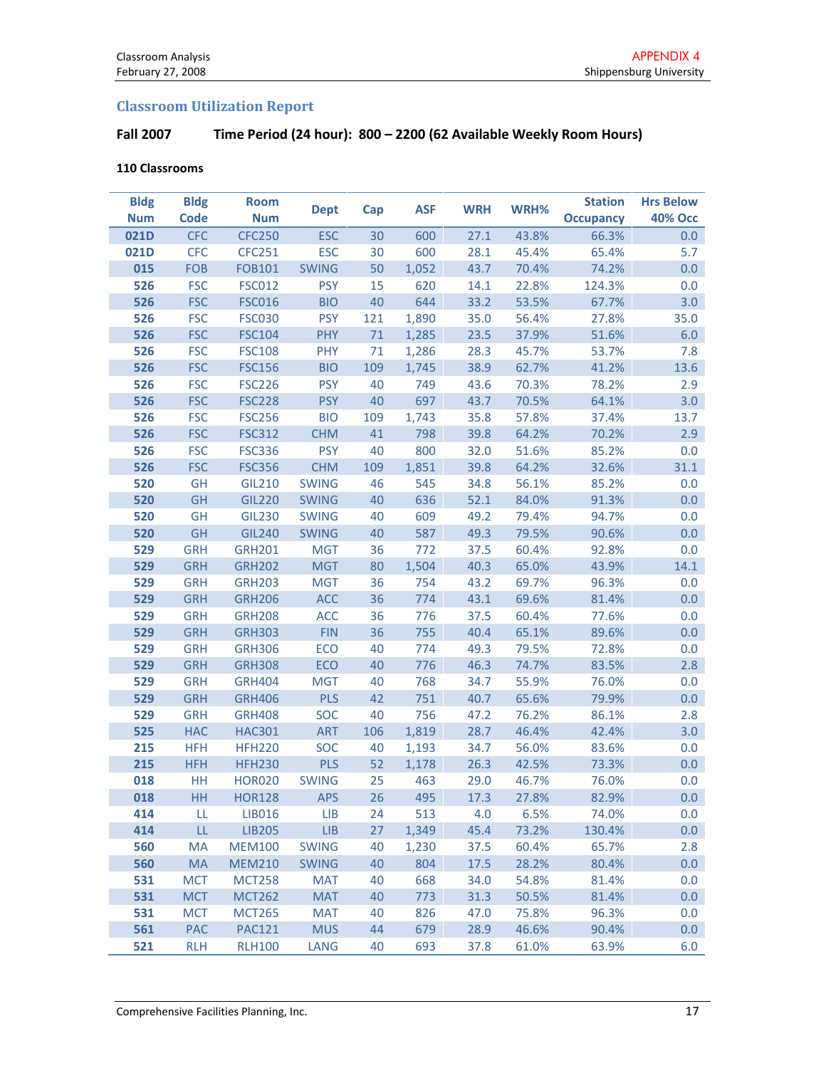# Classroom Utilization Report

# Fall 2007 Time Period (24 hour): 800 – 2200 (62 Available Weekly Room Hours)

#### 110 Classrooms

| <b>Bldg</b> | <b>Bldg</b> | <b>Room</b>   | <b>Dept</b>  |     |            |            |       | <b>Station</b>   | <b>Hrs Below</b> |
|-------------|-------------|---------------|--------------|-----|------------|------------|-------|------------------|------------------|
| <b>Num</b>  | <b>Code</b> | <b>Num</b>    |              | Cap | <b>ASF</b> | <b>WRH</b> | WRH%  | <b>Occupancy</b> | <b>40% Occ</b>   |
| 021D        | <b>CFC</b>  | <b>CFC250</b> | <b>ESC</b>   | 30  | 600        | 27.1       | 43.8% | 66.3%            | 0.0              |
| 021D        | <b>CFC</b>  | <b>CFC251</b> | <b>ESC</b>   | 30  | 600        | 28.1       | 45.4% | 65.4%            | 5.7              |
| 015         | <b>FOB</b>  | <b>FOB101</b> | <b>SWING</b> | 50  | 1,052      | 43.7       | 70.4% | 74.2%            | 0.0              |
| 526         | <b>FSC</b>  | <b>FSC012</b> | <b>PSY</b>   | 15  | 620        | 14.1       | 22.8% | 124.3%           | 0.0              |
| 526         | <b>FSC</b>  | <b>FSC016</b> | <b>BIO</b>   | 40  | 644        | 33.2       | 53.5% | 67.7%            | 3.0              |
| 526         | <b>FSC</b>  | <b>FSC030</b> | <b>PSY</b>   | 121 | 1,890      | 35.0       | 56.4% | 27.8%            | 35.0             |
| 526         | <b>FSC</b>  | <b>FSC104</b> | <b>PHY</b>   | 71  | 1,285      | 23.5       | 37.9% | 51.6%            | 6.0              |
| 526         | <b>FSC</b>  | <b>FSC108</b> | PHY          | 71  | 1,286      | 28.3       | 45.7% | 53.7%            | 7.8              |
| 526         | <b>FSC</b>  | <b>FSC156</b> | <b>BIO</b>   | 109 | 1,745      | 38.9       | 62.7% | 41.2%            | 13.6             |
| 526         | <b>FSC</b>  | <b>FSC226</b> | <b>PSY</b>   | 40  | 749        | 43.6       | 70.3% | 78.2%            | 2.9              |
| 526         | <b>FSC</b>  | <b>FSC228</b> | <b>PSY</b>   | 40  | 697        | 43.7       | 70.5% | 64.1%            | 3.0              |
| 526         | <b>FSC</b>  | <b>FSC256</b> | <b>BIO</b>   | 109 | 1,743      | 35.8       | 57.8% | 37.4%            | 13.7             |
| 526         | <b>FSC</b>  | <b>FSC312</b> | <b>CHM</b>   | 41  | 798        | 39.8       | 64.2% | 70.2%            | 2.9              |
| 526         | <b>FSC</b>  | <b>FSC336</b> | <b>PSY</b>   | 40  | 800        | 32.0       | 51.6% | 85.2%            | 0.0              |
| 526         | <b>FSC</b>  | <b>FSC356</b> | <b>CHM</b>   | 109 | 1,851      | 39.8       | 64.2% | 32.6%            | 31.1             |
| 520         | GH          | <b>GIL210</b> | <b>SWING</b> | 46  | 545        | 34.8       | 56.1% | 85.2%            | 0.0              |
| 520         | GH          | <b>GIL220</b> | <b>SWING</b> | 40  | 636        | 52.1       | 84.0% | 91.3%            | 0.0              |
| 520         | <b>GH</b>   | <b>GIL230</b> | <b>SWING</b> | 40  | 609        | 49.2       | 79.4% | 94.7%            | 0.0              |
| 520         | GH          | <b>GIL240</b> | <b>SWING</b> | 40  | 587        | 49.3       | 79.5% | 90.6%            | 0.0              |
| 529         | <b>GRH</b>  | <b>GRH201</b> | <b>MGT</b>   | 36  | 772        | 37.5       | 60.4% | 92.8%            | 0.0              |
| 529         | <b>GRH</b>  | <b>GRH202</b> | <b>MGT</b>   | 80  | 1,504      | 40.3       | 65.0% | 43.9%            | 14.1             |
| 529         | <b>GRH</b>  | <b>GRH203</b> | <b>MGT</b>   | 36  | 754        | 43.2       | 69.7% | 96.3%            | 0.0              |
| 529         | <b>GRH</b>  | <b>GRH206</b> | <b>ACC</b>   | 36  | 774        | 43.1       | 69.6% | 81.4%            | 0.0              |
| 529         | <b>GRH</b>  | <b>GRH208</b> | <b>ACC</b>   | 36  | 776        | 37.5       | 60.4% | 77.6%            | 0.0              |
| 529         | <b>GRH</b>  | <b>GRH303</b> | <b>FIN</b>   | 36  | 755        | 40.4       | 65.1% | 89.6%            | 0.0              |
| 529         | <b>GRH</b>  | <b>GRH306</b> | ECO          | 40  | 774        | 49.3       | 79.5% | 72.8%            | 0.0              |
| 529         | <b>GRH</b>  | <b>GRH308</b> | ECO          | 40  | 776        | 46.3       | 74.7% | 83.5%            | 2.8              |
| 529         | <b>GRH</b>  | <b>GRH404</b> | <b>MGT</b>   | 40  | 768        | 34.7       | 55.9% | 76.0%            | 0.0              |
| 529         | <b>GRH</b>  | <b>GRH406</b> | <b>PLS</b>   | 42  | 751        | 40.7       | 65.6% | 79.9%            | 0.0              |
| 529         | <b>GRH</b>  | <b>GRH408</b> | SOC          | 40  | 756        | 47.2       | 76.2% | 86.1%            | 2.8              |
| 525         | <b>HAC</b>  | <b>HAC301</b> | <b>ART</b>   | 106 | 1,819      | 28.7       | 46.4% | 42.4%            | 3.0              |
| 215         | <b>HFH</b>  | <b>HFH220</b> | SOC          | 40  | 1,193      | 34.7       | 56.0% | 83.6%            | 0.0              |
| 215         | <b>HFH</b>  | <b>HFH230</b> | <b>PLS</b>   | 52  | 1,178      | 26.3       | 42.5% | 73.3%            | 0.0              |
| 018         | HH          | <b>HOR020</b> | <b>SWING</b> | 25  | 463        | 29.0       | 46.7% | 76.0%            | 0.0              |
| 018         | HH          | <b>HOR128</b> | <b>APS</b>   | 26  | 495        | 17.3       | 27.8% | 82.9%            | 0.0              |
| 414         | LL          | LIB016        | <b>LIB</b>   | 24  | 513        | 4.0        | 6.5%  | 74.0%            | 0.0              |
| 414         | LL          | <b>LIB205</b> | LIB          | 27  | 1,349      | 45.4       | 73.2% | 130.4%           | 0.0              |
| 560         | MA          | <b>MEM100</b> | <b>SWING</b> | 40  | 1,230      | 37.5       | 60.4% | 65.7%            | 2.8              |
| 560         | MA          | <b>MEM210</b> | <b>SWING</b> | 40  | 804        | 17.5       | 28.2% | 80.4%            | 0.0              |
| 531         | <b>MCT</b>  | <b>MCT258</b> | <b>MAT</b>   | 40  | 668        | 34.0       | 54.8% | 81.4%            | 0.0              |
| 531         | <b>MCT</b>  | <b>MCT262</b> | <b>MAT</b>   | 40  | 773        | 31.3       | 50.5% | 81.4%            | 0.0              |
| 531         | <b>MCT</b>  | <b>MCT265</b> | <b>MAT</b>   | 40  | 826        | 47.0       | 75.8% | 96.3%            | 0.0              |
| 561         | PAC         | <b>PAC121</b> | <b>MUS</b>   | 44  | 679        | 28.9       | 46.6% | 90.4%            | 0.0              |
| 521         | <b>RLH</b>  | <b>RLH100</b> | LANG         | 40  | 693        | 37.8       | 61.0% | 63.9%            | 6.0              |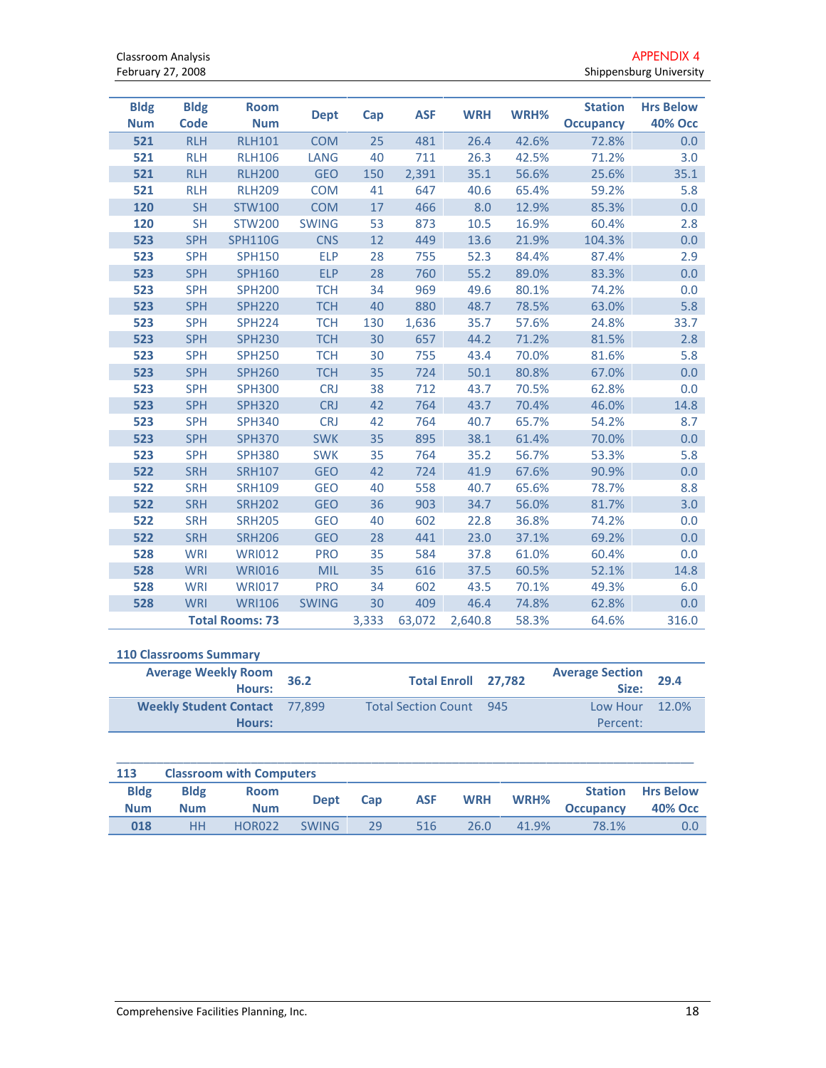| <b>Bldg</b><br><b>Num</b> | <b>Bldg</b><br>Code | <b>Room</b><br><b>Num</b> | <b>Dept</b>  | Cap   | <b>ASF</b> | <b>WRH</b> | WRH%  | <b>Station</b><br><b>Occupancy</b> | <b>Hrs Below</b><br><b>40% Occ</b> |
|---------------------------|---------------------|---------------------------|--------------|-------|------------|------------|-------|------------------------------------|------------------------------------|
| 521                       | <b>RLH</b>          | <b>RLH101</b>             | <b>COM</b>   | 25    | 481        | 26.4       | 42.6% | 72.8%                              | 0.0                                |
| 521                       | <b>RLH</b>          | <b>RLH106</b>             | <b>LANG</b>  | 40    | 711        | 26.3       | 42.5% | 71.2%                              | 3.0                                |
| 521                       | <b>RLH</b>          | <b>RLH200</b>             | <b>GEO</b>   | 150   | 2,391      | 35.1       | 56.6% | 25.6%                              | 35.1                               |
| 521                       | <b>RLH</b>          | <b>RLH209</b>             | <b>COM</b>   | 41    | 647        | 40.6       | 65.4% | 59.2%                              | 5.8                                |
| 120                       | <b>SH</b>           | <b>STW100</b>             | <b>COM</b>   | 17    | 466        | 8.0        | 12.9% | 85.3%                              | 0.0                                |
| 120                       | <b>SH</b>           | <b>STW200</b>             | <b>SWING</b> | 53    | 873        | 10.5       | 16.9% | 60.4%                              | 2.8                                |
| 523                       | <b>SPH</b>          | <b>SPH110G</b>            | <b>CNS</b>   | 12    | 449        | 13.6       | 21.9% | 104.3%                             | 0.0                                |
| 523                       | <b>SPH</b>          | <b>SPH150</b>             | <b>ELP</b>   | 28    | 755        | 52.3       | 84.4% | 87.4%                              | 2.9                                |
| 523                       | <b>SPH</b>          | <b>SPH160</b>             | <b>ELP</b>   | 28    | 760        | 55.2       | 89.0% | 83.3%                              | 0.0                                |
| 523                       | <b>SPH</b>          | <b>SPH200</b>             | <b>TCH</b>   | 34    | 969        | 49.6       | 80.1% | 74.2%                              | 0.0                                |
| 523                       | <b>SPH</b>          | <b>SPH220</b>             | <b>TCH</b>   | 40    | 880        | 48.7       | 78.5% | 63.0%                              | 5.8                                |
| 523                       | <b>SPH</b>          | <b>SPH224</b>             | <b>TCH</b>   | 130   | 1,636      | 35.7       | 57.6% | 24.8%                              | 33.7                               |
| 523                       | <b>SPH</b>          | <b>SPH230</b>             | <b>TCH</b>   | 30    | 657        | 44.2       | 71.2% | 81.5%                              | 2.8                                |
| 523                       | <b>SPH</b>          | <b>SPH250</b>             | <b>TCH</b>   | 30    | 755        | 43.4       | 70.0% | 81.6%                              | 5.8                                |
| 523                       | <b>SPH</b>          | <b>SPH260</b>             | <b>TCH</b>   | 35    | 724        | 50.1       | 80.8% | 67.0%                              | 0.0                                |
| 523                       | <b>SPH</b>          | <b>SPH300</b>             | <b>CRJ</b>   | 38    | 712        | 43.7       | 70.5% | 62.8%                              | 0.0                                |
| 523                       | <b>SPH</b>          | <b>SPH320</b>             | <b>CRJ</b>   | 42    | 764        | 43.7       | 70.4% | 46.0%                              | 14.8                               |
| 523                       | <b>SPH</b>          | <b>SPH340</b>             | <b>CRJ</b>   | 42    | 764        | 40.7       | 65.7% | 54.2%                              | 8.7                                |
| 523                       | <b>SPH</b>          | <b>SPH370</b>             | <b>SWK</b>   | 35    | 895        | 38.1       | 61.4% | 70.0%                              | 0.0                                |
| 523                       | <b>SPH</b>          | <b>SPH380</b>             | <b>SWK</b>   | 35    | 764        | 35.2       | 56.7% | 53.3%                              | 5.8                                |
| 522                       | <b>SRH</b>          | <b>SRH107</b>             | <b>GEO</b>   | 42    | 724        | 41.9       | 67.6% | 90.9%                              | 0.0                                |
| 522                       | <b>SRH</b>          | <b>SRH109</b>             | <b>GEO</b>   | 40    | 558        | 40.7       | 65.6% | 78.7%                              | 8.8                                |
| 522                       | <b>SRH</b>          | <b>SRH202</b>             | <b>GEO</b>   | 36    | 903        | 34.7       | 56.0% | 81.7%                              | 3.0                                |
| 522                       | <b>SRH</b>          | <b>SRH205</b>             | <b>GEO</b>   | 40    | 602        | 22.8       | 36.8% | 74.2%                              | 0.0                                |
| 522                       | <b>SRH</b>          | <b>SRH206</b>             | <b>GEO</b>   | 28    | 441        | 23.0       | 37.1% | 69.2%                              | 0.0                                |
| 528                       | <b>WRI</b>          | <b>WRI012</b>             | <b>PRO</b>   | 35    | 584        | 37.8       | 61.0% | 60.4%                              | 0.0                                |
| 528                       | WRI                 | <b>WRI016</b>             | <b>MIL</b>   | 35    | 616        | 37.5       | 60.5% | 52.1%                              | 14.8                               |
| 528                       | <b>WRI</b>          | <b>WRI017</b>             | <b>PRO</b>   | 34    | 602        | 43.5       | 70.1% | 49.3%                              | 6.0                                |
| 528                       | <b>WRI</b>          | <b>WRI106</b>             | <b>SWING</b> | 30    | 409        | 46.4       | 74.8% | 62.8%                              | 0.0                                |
|                           |                     | <b>Total Rooms: 73</b>    |              | 3,333 | 63,072     | 2,640.8    | 58.3% | 64.6%                              | 316.0                              |

#### 110 Classrooms Summary

| <b>Average Weekly Room</b><br>Hours:    | 36.2 | Total Enroll 27,782        |     | <b>Average Section</b><br>Size: | 29.4 |
|-----------------------------------------|------|----------------------------|-----|---------------------------------|------|
| Weekly Student Contact 77,899<br>Hours: |      | <b>Total Section Count</b> | 945 | Low Hour $12.0\%$<br>Percent:   |      |

| 113         | <b>Classroom with Computers</b> |               |              |     |            |            |       |                  |                  |
|-------------|---------------------------------|---------------|--------------|-----|------------|------------|-------|------------------|------------------|
| <b>Bldg</b> | <b>Bldg</b>                     | <b>Room</b>   | <b>Dept</b>  | Cap | <b>ASF</b> | <b>WRH</b> | WRH%  | <b>Station</b>   | <b>Hrs Below</b> |
| <b>Num</b>  | <b>Num</b>                      | <b>Num</b>    |              |     |            |            |       | <b>Occupancy</b> | <b>40% Occ</b>   |
| 018         | HН                              | <b>HOR022</b> | <b>SWING</b> | 29. | 516        | 26.0       | 41.9% | 78.1%            | 0.0              |

 $\_$  , and the set of the set of the set of the set of the set of the set of the set of the set of the set of the set of the set of the set of the set of the set of the set of the set of the set of the set of the set of th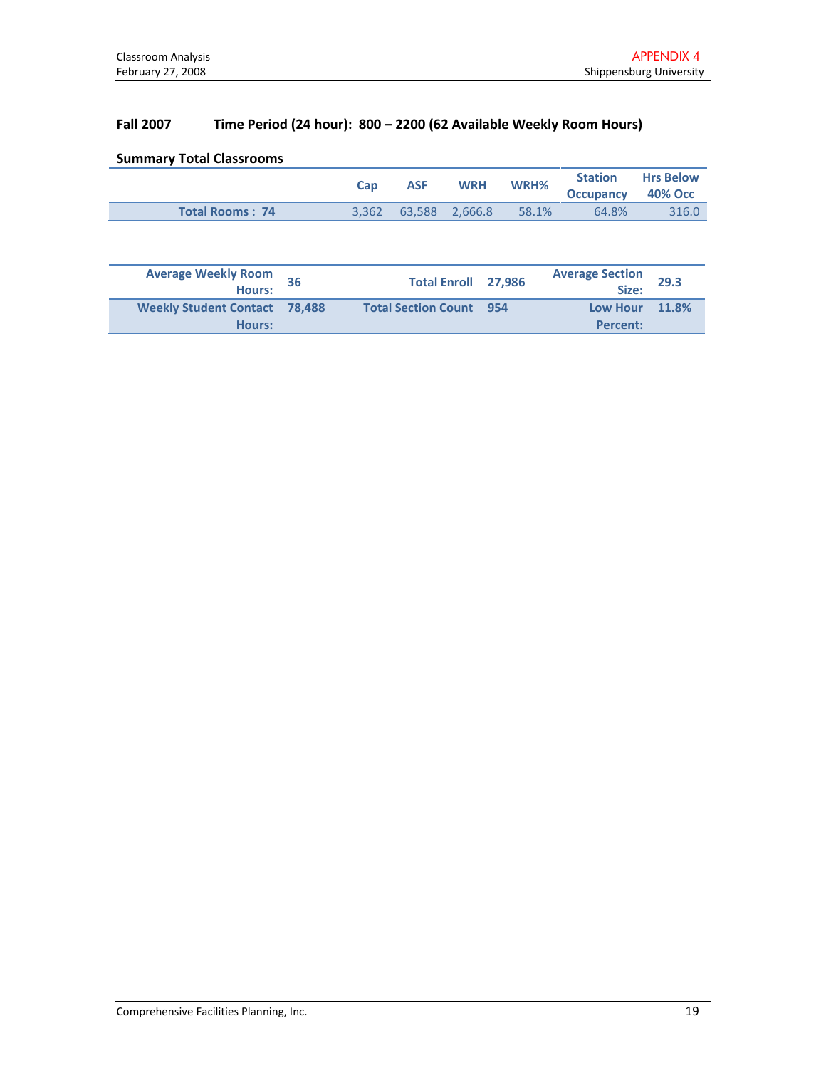# Fall 2007 Time Period (24 hour): 800 – 2200 (62 Available Weekly Room Hours)

|  |  | <b>Summary Total Classrooms</b> |
|--|--|---------------------------------|
|--|--|---------------------------------|

|                        | <b>Cap</b> | <b>ASF</b> | <b>WRH</b>                 | WRH%  |                          | <b>Station Hrs Below</b> |
|------------------------|------------|------------|----------------------------|-------|--------------------------|--------------------------|
|                        |            |            |                            |       | <b>Occupancy 40% Occ</b> |                          |
| <b>Total Rooms: 74</b> |            |            | $3.362$ $63.588$ $2.666.8$ | 58.1% | 64.8%                    | 316.0                    |

| <b>Average Weekly Room</b><br><b>Hours:</b> | Total Enroll 27,986            | <b>Average Section</b><br>Size:   | 29.3 |
|---------------------------------------------|--------------------------------|-----------------------------------|------|
| Weekly Student Contact 78,488<br>Hours:     | <b>Total Section Count 954</b> | <b>Low Hour 11.8%</b><br>Percent: |      |